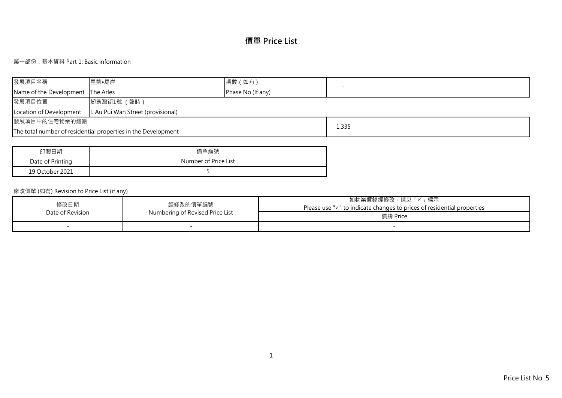# **價單 Price List**

## 第一部份:基本資料 Part 1: Basic Information

| 發展項目名稱                            | ■星凱•堤岸                                                        | 期數 (如有)           |       |
|-----------------------------------|---------------------------------------------------------------|-------------------|-------|
| Name of the Development The Arles |                                                               | Phase No.(If any) |       |
| 發展項目位置                            | 坳背灣街1號 (臨時)                                                   |                   |       |
| Location of Development           | 1 Au Pui Wan Street (provisional)                             |                   |       |
| 發展項目中的住宅物業的總數                     |                                                               |                   |       |
|                                   | The total number of residential properties in the Development |                   | 1,335 |

| 印製日期             | 價單編號                 |
|------------------|----------------------|
| Date of Printing | Number of Price List |
| 19 October 2021  |                      |

## 修改價單 (如有) Revision to Price List (if any)

| 修改日期<br>Date of Revision | 經修改的價單編號<br>Numbering of Revised Price List | 如物業價錢經修改‧請以「✓」標示<br>Please use "√" to indicate changes to prices of residential properties<br>價錢 Price |
|--------------------------|---------------------------------------------|--------------------------------------------------------------------------------------------------------|
|                          |                                             |                                                                                                        |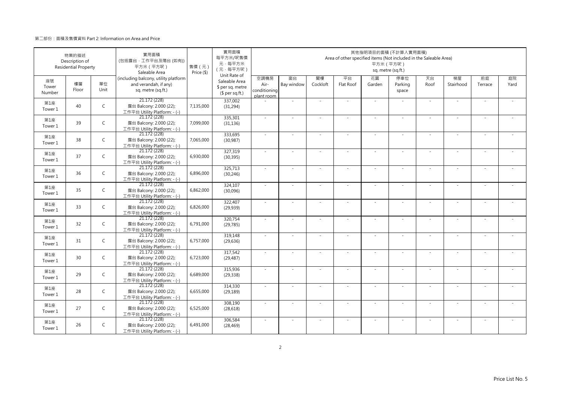|                       | 物業的描述<br>Description of<br><b>Residential Property</b> |              | 實用面積<br>(包括露台·工作平台及陽台 (如有))<br>平方米 (平方呎)<br>Saleable Area                           | 售價 (元)<br>Price (\$) | 實用面積<br>每平方米/呎售價<br>元·每平方米<br>(元·每平方呎)                               |                                            |                  |                | Area of other specified items (Not included in the Saleable Area) | 平方米 (平方呎)                | 其他指明項目的面積 (不計算入實用面積)<br>sq. metre (sq.ft.) |            |                          |               |            |
|-----------------------|--------------------------------------------------------|--------------|-------------------------------------------------------------------------------------|----------------------|----------------------------------------------------------------------|--------------------------------------------|------------------|----------------|-------------------------------------------------------------------|--------------------------|--------------------------------------------|------------|--------------------------|---------------|------------|
| 座號<br>Tower<br>Number | 樓層<br>Floor                                            | 單位<br>Unit   | (including balcony, utility platform<br>and verandah, if any)<br>sq. metre (sq.ft.) |                      | Unit Rate of<br>Saleable Area<br>\$ per sq. metre<br>$$$ per sq.ft.) | 空調機房<br>Air-<br>conditioning<br>plant room | 窗台<br>Bay window | 閣樓<br>Cockloft | 平台<br>Flat Roof                                                   | 花園<br>Garden             | 停車位<br>Parking<br>space                    | 天台<br>Roof | 梯屋<br>Stairhood          | 前庭<br>Terrace | 庭院<br>Yard |
| 第1座<br>Tower 1        | 40                                                     | $\mathsf{C}$ | 21.172 (228)<br>露台 Balcony: 2.000 (22);<br>工作平台 Utility Platform: - (-)             | 7,135,000            | 337,002<br>(31, 294)                                                 |                                            | $\sim$           |                | $\sim$                                                            | $\overline{\phantom{a}}$ | $\sim$                                     | $\sim$     | $\overline{\phantom{a}}$ |               |            |
| 第1座<br>Tower 1        | 39                                                     | $\mathsf{C}$ | 21.172 (228)<br>露台 Balcony: 2.000 (22);<br>工作平台 Utility Platform: - (-)             | 7,099,000            | 335,301<br>(31, 136)                                                 | $\sim$                                     | ×.               | - 1            | $\sim$                                                            | ÷.                       | $\sim$                                     | ×.         | ×.                       |               |            |
| 第1座<br>Tower 1        | 38                                                     | $\mathsf{C}$ | 21.172 (228)<br>露台 Balcony: 2.000 (22);<br>工作平台 Utility Platform: - (-)             | 7,065,000            | 333,695<br>(30, 987)                                                 | $\sim$                                     | ×,               |                | ÷.                                                                | ä,                       | $\sim$                                     | $\sim$     | ÷                        |               |            |
| 第1座<br>Tower 1        | 37                                                     | $\mathsf C$  | 21.172 (228)<br>露台 Balcony: 2.000 (22);<br>工作平台 Utility Platform: - (-)             | 6,930,000            | 327,319<br>(30, 395)                                                 | $\sim$                                     | ä,               |                |                                                                   |                          |                                            | ×.         | ä,                       |               |            |
| 第1座<br>Tower 1        | 36                                                     | $\mathsf{C}$ | 21.172 (228)<br>露台 Balcony: 2.000 (22);<br>工作平台 Utility Platform: - (-)             | 6,896,000            | 325,713<br>(30, 246)                                                 | $\sim$                                     | ×.               | $\sim$         | $\sim$                                                            | ÷.                       | $\sim$                                     | $\sim$     | $\sim$                   | $\sim$        |            |
| 第1座<br>Tower 1        | 35                                                     | $\mathsf{C}$ | 21.172 (228)<br>露台 Balcony: 2.000 (22);<br>工作平台 Utility Platform: - (-)             | 6,862,000            | 324,107<br>(30,096)                                                  | $\sim$                                     | $\sim$           |                | $\sim$                                                            | $\sim$                   |                                            | $\sim$     | $\sim$                   |               |            |
| 第1座<br>Tower 1        | 33                                                     | $\mathsf{C}$ | 21.172(228)<br>露台 Balcony: 2.000 (22);<br>工作平台 Utility Platform: - (-)              | 6,826,000            | 322,407<br>(29, 939)                                                 | $\sim$                                     | $\sim$           | ÷.             | ÷.                                                                | J.                       | $\sim$                                     | $\sim$     | $\sim$                   | $\sim$        |            |
| 第1座<br>Tower 1        | 32                                                     | $\mathsf{C}$ | 21.172 (228)<br>露台 Balcony: 2.000 (22);<br>工作平台 Utility Platform: - (-)             | 6,791,000            | 320,754<br>(29, 785)                                                 | $\sim$                                     | ×.               |                | ÷.                                                                | ÷.                       | $\sim$                                     | ×.         | ×.                       |               |            |
| 第1座<br>Tower 1        | 31                                                     | $\mathsf{C}$ | 21.172 (228)<br>露台 Balcony: 2.000 (22);<br>工作平台 Utility Platform: - (-)             | 6,757,000            | 319,148<br>(29, 636)                                                 | ×.                                         | ×.               |                | ÷.                                                                | ٠                        |                                            | ×.         | ×.                       |               |            |
| 第1座<br>Tower 1        | 30                                                     | $\mathsf{C}$ | 21.172 (228)<br>露台 Balcony: 2.000 (22);<br>工作平台 Utility Platform: - (-)             | 6,723,000            | 317,542<br>(29, 487)                                                 | $\sim$                                     | ä,               |                |                                                                   |                          |                                            | $\sim$     | ä,                       |               |            |
| 第1座<br>Tower 1        | 29                                                     | $\mathsf{C}$ | 21.172 (228)<br>露台 Balcony: 2.000 (22);<br>工作平台 Utility Platform: - (-)             | 6,689,000            | 315,936<br>(29, 338)                                                 | $\sim$                                     | $\sim$           | $\sim$         | ÷.                                                                | ÷.                       |                                            | ×.         | $\sim$                   |               |            |
| 第1座<br>Tower 1        | 28                                                     | $\mathsf{C}$ | 21.172 (228)<br>露台 Balcony: 2.000 (22);<br>工作平台 Utility Platform: - (-)             | 6,655,000            | 314,330<br>(29, 189)                                                 | $\sim$                                     | $\sim$           |                | ÷.                                                                | ÷,                       | $\sim$                                     | $\sim$     | $\sim$                   |               |            |
| 第1座<br>Tower 1        | 27                                                     | C            | 21.172 (228)<br>露台 Balcony: 2.000 (22);<br>工作平台 Utility Platform: - (-)             | 6,525,000            | 308,190<br>(28, 618)                                                 | $\sim$                                     | $\sim$           | $\sim$         | $\sim$                                                            | $\sim$                   | $\sim$                                     | $\sim$     | $\sim$                   |               |            |
| 第1座<br>Tower 1        | 26                                                     | $\mathsf{C}$ | 21.172 (228)<br>露台 Balcony: 2.000 (22);<br>工作平台 Utility Platform: - (-)             | 6,491,000            | 306,584<br>(28, 469)                                                 | $\sim$                                     | $\sim$           |                | ×                                                                 | ÷.                       | $\sim$                                     | $\sim$     | $\bar{a}$                | $\sim$        |            |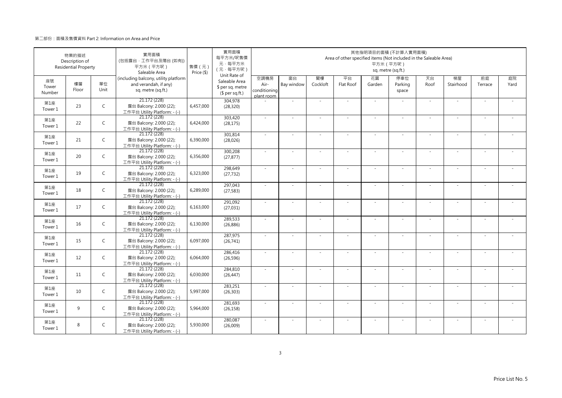|                       | 物業的描述<br>Description of<br><b>Residential Property</b> |              | 實用面積<br>(包括露台·工作平台及陽台(如有))<br>平方米 (平方呎)<br>Saleable Area                            | 售價 (元)<br>Price (\$) | 實用面積<br>每平方米/呎售價<br>元·每平方米<br>(元·每平方呎)<br>Unit Rate of |                                            |                  |                | Area of other specified items (Not included in the Saleable Area) | 平方米 (平方呎)    | 其他指明項目的面積 (不計算入實用面積)<br>sq. metre (sq.ft.) |            |                 |               |            |
|-----------------------|--------------------------------------------------------|--------------|-------------------------------------------------------------------------------------|----------------------|--------------------------------------------------------|--------------------------------------------|------------------|----------------|-------------------------------------------------------------------|--------------|--------------------------------------------|------------|-----------------|---------------|------------|
| 座號<br>Tower<br>Number | 樓層<br>Floor                                            | 單位<br>Unit   | (including balcony, utility platform<br>and verandah, if any)<br>sq. metre (sq.ft.) |                      | Saleable Area<br>\$ per sq. metre<br>$$$ per sq.ft.)   | 空調機房<br>Air-<br>conditioning<br>plant room | 窗台<br>Bay window | 閣樓<br>Cockloft | 平台<br>Flat Roof                                                   | 花園<br>Garden | 停車位<br>Parking<br>space                    | 天台<br>Roof | 梯屋<br>Stairhood | 前庭<br>Terrace | 庭院<br>Yard |
| 第1座<br>Tower 1        | 23                                                     | $\mathsf{C}$ | 21.172 (228)<br>露台 Balcony: 2.000 (22);<br>工作平台 Utility Platform: - (-)             | 6,457,000            | 304,978<br>(28, 320)                                   |                                            | ×.               |                | ÷.                                                                | $\sim$       | $\sim$                                     | $\sim$     | $\sim$          |               |            |
| 第1座<br>Tower 1        | 22                                                     | $\mathsf{C}$ | 21.172 (228)<br>露台 Balcony: 2.000 (22);<br>工作平台 Utility Platform: - (-)             | 6,424,000            | 303,420<br>(28, 175)                                   | $\sim$                                     | ×.               | $\sim$         | $\sim$                                                            | ×.           | $\sim$                                     | $\sim$     | $\sim$          | $\sim$        | ÷.         |
| 第1座<br>Tower 1        | 21                                                     | $\mathsf{C}$ | 21.172 (228)<br>露台 Balcony: 2.000 (22);<br>工作平台 Utility Platform: - (-)             | 6,390,000            | 301,814<br>(28,026)                                    | $\sim$                                     | ×.               |                | ÷.                                                                | $\sim$       |                                            | $\sim$     | ÷.              |               |            |
| 第1座<br>Tower 1        | 20                                                     | $\mathsf{C}$ | 21.172 (228)<br>露台 Balcony: 2.000 (22);<br>工作平台 Utility Platform: - (-)             | 6,356,000            | 300,208<br>(27, 877)                                   | $\sim$                                     | ä,               |                |                                                                   | ÷,           |                                            | $\sim$     | ٠               |               |            |
| 第1座<br>Tower 1        | 19                                                     | $\mathsf{C}$ | 21.172 (228)<br>露台 Balcony: 2.000 (22);<br>工作平台 Utility Platform: - (-)             | 6,323,000            | 298,649<br>(27, 732)                                   | $\sim$                                     | $\sim$           |                | $\overline{\phantom{a}}$                                          | $\sim$       | $\sim$                                     | $\sim$     | $\sim$          |               |            |
| 第1座<br>Tower 1        | 18                                                     | $\mathsf{C}$ | 21.172 (228)<br>露台 Balcony: 2.000 (22);<br>工作平台 Utility Platform: - (-)             | 6,289,000            | 297,043<br>(27, 583)                                   | $\sim$                                     |                  |                |                                                                   |              |                                            | $\sim$     | ä,              |               |            |
| 第1座<br>Tower 1        | 17                                                     | $\mathsf{C}$ | 21.172 (228)<br>露台 Balcony: 2.000 (22);<br>工作平台 Utility Platform: - (-)             | 6,163,000            | 291,092<br>(27, 031)                                   | $\sim$                                     | ×.               | $\sim$         | $\sim$                                                            | ÷.           | $\sim$                                     | $\sim$     | $\sim$          | $\sim$        | $\sim$     |
| 第1座<br>Tower 1        | 16                                                     | $\mathsf{C}$ | 21.172 (228)<br>露台 Balcony: 2.000 (22);<br>工作平台 Utility Platform: - (-)             | 6,130,000            | 289,533<br>(26, 886)                                   | $\sim$                                     |                  |                |                                                                   |              |                                            | $\sim$     |                 |               |            |
| 第1座<br>Tower 1        | 15                                                     | C            | 21.172 (228)<br>露台 Balcony: 2.000 (22);<br>工作平台 Utility Platform: - (-)             | 6,097,000            | 287,975<br>(26,741)                                    | $\sim$                                     | ×.               |                | ÷.                                                                | ÷.           |                                            | ×.         | ×.              |               |            |
| 第1座<br>Tower 1        | 12                                                     | $\mathsf{C}$ | 21.172 (228)<br>露台 Balcony: 2.000 (22);<br>工作平台 Utility Platform: - (-)             | 6,064,000            | 286,416<br>(26, 596)                                   | $\sim$                                     | $\sim$           |                | ÷.                                                                | ÷.           | ×.                                         | $\sim$     | $\sim$          |               |            |
| 第1座<br>Tower 1        | 11                                                     | $\mathsf{C}$ | 21.172 (228)<br>露台 Balcony: 2.000 (22);<br>工作平台 Utility Platform: - (-)             | 6,030,000            | 284,810<br>(26, 447)                                   | $\sim$                                     | ×.               |                | ÷.                                                                | ÷.           |                                            | ×.         | ×.              |               |            |
| 第1座<br>Tower 1        | 10                                                     | $\mathsf{C}$ | 21.172 (228)<br>露台 Balcony: 2.000 (22);<br>工作平台 Utility Platform: - (-)             | 5,997,000            | 283,251<br>(26, 303)                                   | $\sim$                                     | $\sim$           | $\sim$         | ÷,                                                                | ÷,           | $\sim$                                     | $\sim$     | $\sim$          |               |            |
| 第1座<br>Tower 1        | 9                                                      | C            | 21.172 (228)<br>露台 Balcony: 2.000 (22);<br>工作平台 Utility Platform: - (-)             | 5,964,000            | 281,693<br>(26, 158)                                   | $\sim$                                     |                  |                |                                                                   |              |                                            | ×.         |                 |               |            |
| 第1座<br>Tower 1        | 8                                                      | C            | 21.172 (228)<br>露台 Balcony: 2.000 (22);<br>工作平台 Utility Platform: - (-)             | 5,930,000            | 280,087<br>(26,009)                                    | ×.                                         | ×.               |                | $\sim$                                                            | $\sim$       | $\sim$                                     | ×.         | $\sim$          |               | $\sim$     |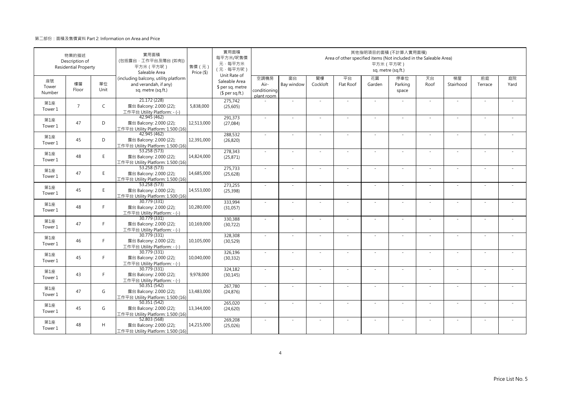|                       | 物業的描述<br>Description of<br><b>Residential Property</b> |              | 實用面積<br>(包括露台·工作平台及陽台(如有))<br>平方米 (平方呎)<br>Saleable Area                            | 售價 (元)<br>Price (\$) | 實用面積<br>每平方米/呎售價<br>元·每平方米<br>(元·每平方呎)                               |                                            |                  |                | Area of other specified items (Not included in the Saleable Area) | 平方米 (平方呎)    | 其他指明項目的面積 (不計算入實用面積)<br>sq. metre (sq.ft.) |            |                 |               |            |
|-----------------------|--------------------------------------------------------|--------------|-------------------------------------------------------------------------------------|----------------------|----------------------------------------------------------------------|--------------------------------------------|------------------|----------------|-------------------------------------------------------------------|--------------|--------------------------------------------|------------|-----------------|---------------|------------|
| 座號<br>Tower<br>Number | 樓層<br>Floor                                            | 單位<br>Unit   | (including balcony, utility platform<br>and verandah, if any)<br>sq. metre (sq.ft.) |                      | Unit Rate of<br>Saleable Area<br>\$ per sq. metre<br>$$$ per sq.ft.) | 空調機房<br>Air-<br>conditioning<br>plant room | 窗台<br>Bay window | 閣樓<br>Cockloft | 平台<br>Flat Roof                                                   | 花園<br>Garden | 停車位<br>Parking<br>space                    | 天台<br>Roof | 梯屋<br>Stairhood | 前庭<br>Terrace | 庭院<br>Yard |
| 第1座<br>Tower 1        | $\overline{7}$                                         | $\mathsf{C}$ | 21.172 (228)<br>露台 Balcony: 2.000 (22);<br>工作平台 Utility Platform: - (-)             | 5,838,000            | 275,742<br>(25, 605)                                                 |                                            | ×.               |                | ÷.                                                                | $\sim$       |                                            | $\sim$     | $\sim$          |               |            |
| 第1座<br>Tower 1        | 47                                                     | D            | 42.945 (462)<br>露台 Balcony: 2.000 (22);<br>工作平台 Utility Platform: 1.500 (16)        | 12,513,000           | 291,373<br>(27,084)                                                  | $\sim$                                     | ×.               | $\sim$         | $\sim$                                                            | ÷.           | $\sim$                                     | $\sim$     | $\sim$          |               |            |
| 第1座<br>Tower 1        | 45                                                     | D            | 42.945 (462)<br>露台 Balcony: 2.000 (22);<br>工作平台 Utility Platform: 1.500 (16)        | 12,391,000           | 288,532<br>(26, 820)                                                 | $\sim$                                     | ×.               |                | ÷.                                                                | ÷,           |                                            | $\sim$     | ÷.              |               |            |
| 第1座<br>Tower 1        | 48                                                     | E.           | 53.258 (573)<br>露台 Balcony: 2.000 (22);<br>工作平台 Utility Platform: 1.500 (16)        | 14,824,000           | 278,343<br>(25, 871)                                                 | ×.                                         | $\sim$           |                |                                                                   | ÷,           |                                            | $\sim$     | ٠               |               |            |
| 第1座<br>Tower 1        | 47                                                     | E.           | 53.258 (573)<br>露台 Balcony: 2.000 (22);<br>工作平台 Utility Platform: 1.500 (16)        | 14,685,000           | 275,733<br>(25, 628)                                                 | $\sim$                                     | $\sim$           |                | $\overline{\phantom{a}}$                                          | $\sim$       | $\sim$                                     | $\sim$     | $\sim$          |               |            |
| 第1座<br>Tower 1        | 45                                                     | E.           | 53.258 (573)<br>露台 Balcony: 2.000 (22);<br>工作平台 Utility Platform: 1.500 (16)        | 14,553,000           | 273,255<br>(25, 398)                                                 |                                            |                  |                |                                                                   |              |                                            | $\sim$     | ä,              |               |            |
| 第1座<br>Tower 1        | 48                                                     | F.           | 30.779 (331)<br>露台 Balcony: 2.000 (22);<br>工作平台 Utility Platform: - (-)             | 10,280,000           | 333,994<br>(31,057)                                                  | $\sim$                                     | ×.               | $\sim$         | ÷.                                                                | ÷.           | $\sim$                                     | $\sim$     | $\sim$          | $\sim$        | $\sim$     |
| 第1座<br>Tower 1        | 47                                                     | F            | 30.779 (331)<br>露台 Balcony: 2.000 (22);<br>工作平台 Utility Platform: - (-)             | 10,169,000           | 330,388<br>(30, 722)                                                 | $\sim$                                     |                  |                |                                                                   |              |                                            | $\sim$     |                 |               |            |
| 第1座<br>Tower 1        | 46                                                     | F.           | 30.779 (331)<br>露台 Balcony: 2.000 (22);<br>工作平台 Utility Platform: - (-)             | 10,105,000           | 328,308<br>(30, 529)                                                 | ×.                                         | ×.               |                | ÷.                                                                | ÷.           |                                            | ×.         | ×.              |               |            |
| 第1座<br>Tower 1        | 45                                                     | F.           | 30.779 (331)<br>露台 Balcony: 2.000 (22);<br>工作平台 Utility Platform: - (-)             | 10,040,000           | 326,196<br>(30, 332)                                                 | $\sim$                                     | ×.               |                | ÷.                                                                | ÷.           | $\sim$                                     | $\sim$     | $\sim$          |               |            |
| 第1座<br>Tower 1        | 43                                                     | F            | 30.779 (331)<br>露台 Balcony: 2.000 (22);<br>工作平台 Utility Platform: - (-)             | 9,978,000            | 324,182<br>(30, 145)                                                 | $\sim$                                     | ×.               |                | ÷.                                                                | ÷.           |                                            | ×.         | ×.              |               |            |
| 第1座<br>Tower 1        | 47                                                     | G            | 50.351 (542)<br>露台 Balcony: 2.000 (22);<br>工作平台 Utility Platform: 1.500 (16)        | 13,483,000           | 267,780<br>(24, 876)                                                 | $\sim$                                     | $\sim$           | $\sim$         | ÷,                                                                | ÷,           | $\sim$                                     | $\sim$     | $\sim$          |               |            |
| 第1座<br>Tower 1        | 45                                                     | G            | 50.351 (542)<br>露台 Balcony: 2.000 (22);<br>工作平台 Utility Platform: 1.500 (16)        | 13,344,000           | 265,020<br>(24, 620)                                                 | ×.                                         |                  |                |                                                                   |              |                                            |            |                 |               |            |
| 第1座<br>Tower 1        | 48                                                     | H            | 52.803 (568)<br>露台 Balcony: 2.000 (22);<br>工作平台 Utility Platform: 1.500 (16)        | 14,215,000           | 269,208<br>(25,026)                                                  | ×.                                         | $\sim$           |                | $\sim$                                                            | $\sim$       |                                            | ×.         | $\sim$          |               |            |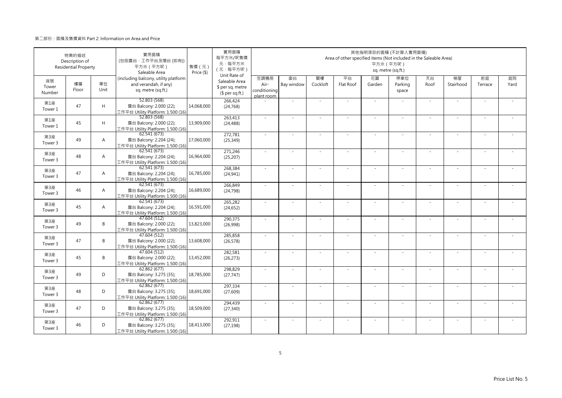|                       | 物業的描述<br>Description of<br><b>Residential Property</b> |                | 實用面積<br>(包括露台·工作平台及陽台(如有))<br>平方米 (平方呎)<br>Saleable Area                            | 售價 (元)<br>Price (\$) | 實用面積<br>每平方米/呎售價<br>元·每平方米<br>(元·每平方呎)                               |                                            |                  |                | Area of other specified items (Not included in the Saleable Area) | 平方米 (平方呎)    | 其他指明項目的面積 (不計算入實用面積)<br>sq. metre (sq.ft.) |            |                 |               |            |
|-----------------------|--------------------------------------------------------|----------------|-------------------------------------------------------------------------------------|----------------------|----------------------------------------------------------------------|--------------------------------------------|------------------|----------------|-------------------------------------------------------------------|--------------|--------------------------------------------|------------|-----------------|---------------|------------|
| 座號<br>Tower<br>Number | 樓層<br>Floor                                            | 單位<br>Unit     | (including balcony, utility platform<br>and verandah, if any)<br>sq. metre (sq.ft.) |                      | Unit Rate of<br>Saleable Area<br>\$ per sq. metre<br>$$$ per sq.ft.) | 空調機房<br>Air-<br>conditioning<br>plant room | 窗台<br>Bay window | 閣樓<br>Cockloft | 平台<br>Flat Roof                                                   | 花園<br>Garden | 停車位<br>Parking<br>space                    | 天台<br>Roof | 梯屋<br>Stairhood | 前庭<br>Terrace | 庭院<br>Yard |
| 第1座<br>Tower 1        | 47                                                     | H              | 52.803 (568)<br>露台 Balcony: 2.000 (22);<br>工作平台 Utility Platform: 1.500 (16)        | 14,068,000           | 266,424<br>(24, 768)                                                 |                                            | ×.               |                | ÷.                                                                | $\sim$       |                                            | $\sim$     | $\sim$          |               |            |
| 第1座<br>Tower 1        | 45                                                     | H              | 52.803 (568)<br>露台 Balcony: 2.000 (22);<br>工作平台 Utility Platform: 1.500 (16)        | 13,909,000           | 263,413<br>(24, 488)                                                 | $\sim$                                     | ×.               | $\sim$         | $\sim$                                                            | ÷.           | $\sim$                                     | $\sim$     | $\sim$          |               |            |
| 第3座<br>Tower 3        | 49                                                     | $\overline{A}$ | 62.541 (673)<br>露台 Balcony: 2.204 (24);<br>工作平台 Utility Platform: 1.500 (16)        | 17,060,000           | 272,781<br>(25, 349)                                                 | ×.                                         | ×.               |                | ÷.                                                                | ÷,           |                                            | $\sim$     | ÷.              |               |            |
| 第3座<br>Tower 3        | 48                                                     | $\overline{A}$ | 62.541(673)<br>露台 Balcony: 2.204 (24);<br>工作平台 Utility Platform: 1.500 (16)         | 16,964,000           | 271,246<br>(25, 207)                                                 | ×.                                         | $\sim$           |                |                                                                   | ÷,           |                                            | $\sim$     | ٠               |               |            |
| 第3座<br>Tower 3        | 47                                                     | $\overline{A}$ | 62.541 (673)<br>露台 Balcony: 2.204 (24);<br>工作平台 Utility Platform: 1.500 (16)        | 16,785,000           | 268,384<br>(24, 941)                                                 | $\sim$                                     | $\sim$           |                | $\overline{\phantom{a}}$                                          | $\sim$       | $\sim$                                     | $\sim$     | ×.              |               |            |
| 第3座<br>Tower 3        | 46                                                     | A              | 62.541 (673)<br>露台 Balcony: 2.204 (24);<br>工作平台 Utility Platform: 1.500 (16)        | 16,689,000           | 266,849<br>(24, 798)                                                 |                                            |                  |                |                                                                   |              |                                            |            | ä,              |               |            |
| 第3座<br>Tower 3        | 45                                                     | $\overline{A}$ | 62.541(673)<br>露台 Balcony: 2.204 (24);<br>工作平台 Utility Platform: 1.500 (16)         | 16,591,000           | 265,282<br>(24, 652)                                                 | $\sim$                                     | ×.               | $\sim$         | ÷.                                                                | ÷.           | $\sim$                                     | $\sim$     | $\sim$          | $\sim$        | $\sim$     |
| 第3座<br>Tower 3        | 49                                                     | B              | 47.604 (512)<br>露台 Balcony: 2.000 (22);<br>工作平台 Utility Platform: 1.500 (16)        | 13,823,000           | 290,375<br>(26,998)                                                  | $\sim$                                     |                  |                |                                                                   |              |                                            | $\sim$     |                 |               |            |
| 第3座<br>Tower 3        | 47                                                     | B              | 47.604 (512)<br>露台 Balcony: 2.000 (22);<br>工作平台 Utility Platform: 1.500 (16)        | 13,608,000           | 285,858<br>(26, 578)                                                 | ×.                                         | ×.               |                | ÷,                                                                | ä,           |                                            | $\sim$     | ×.              |               |            |
| 第3座<br>Tower 3        | 45                                                     | B              | 47.604 (512)<br>露台 Balcony: 2.000 (22);<br>工作平台 Utility Platform: 1.500 (16)        | 13,452,000           | 282,581<br>(26, 273)                                                 | $\sim$                                     | $\sim$           |                | ÷.                                                                | ÷.           | $\sim$                                     | $\sim$     | $\sim$          |               |            |
| 第3座<br>Tower 3        | 49                                                     | D              | 62.862(677)<br>露台 Balcony: 3.275 (35);<br>工作平台 Utility Platform: 1.500 (16)         | 18,785,000           | 298,829<br>(27, 747)                                                 | $\sim$                                     | ×.               |                | ÷.                                                                | ÷.           |                                            | ×.         | ÷,              |               |            |
| 第3座<br>Tower 3        | 48                                                     | D              | 62.862 (677)<br>露台 Balcony: 3.275 (35);<br>工作平台 Utility Platform: 1.500 (16)        | 18,691,000           | 297,334<br>(27, 609)                                                 | $\sim$                                     | $\sim$           | $\sim$         | ÷,                                                                | ÷,           | $\sim$                                     | $\sim$     | $\sim$          |               |            |
| 第3座<br>Tower 3        | 47                                                     | D              | 62.862 (677)<br>露台 Balcony: 3.275 (35);<br>工作平台 Utility Platform: 1.500 (16)        | 18,509,000           | 294,439<br>(27, 340)                                                 |                                            |                  |                |                                                                   |              |                                            |            |                 |               |            |
| 第3座<br>Tower 3        | 46                                                     | D              | 62.862(677)<br>露台 Balcony: 3.275 (35);<br>工作平台 Utility Platform: 1.500 (16)         | 18,413,000           | 292,911<br>(27, 198)                                                 | $\sim$                                     | $\sim$           |                | $\sim$                                                            | $\sim$       |                                            | ×.         | $\sim$          |               |            |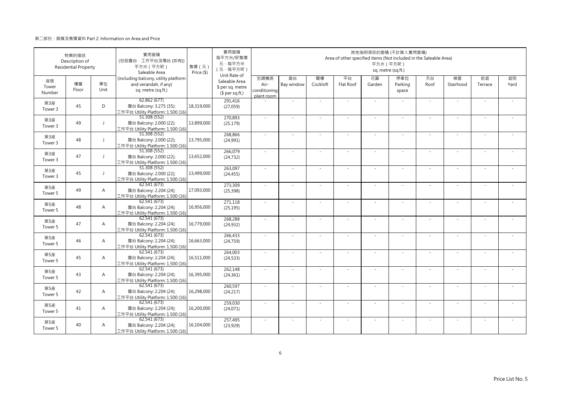|                           | 物業的描述<br>Description of<br><b>Residential Property</b> |                | 實用面積<br>(包括露台·工作平台及陽台(如有))<br>平方米 (平方呎)<br>Saleable Area                            | 售價 (元)<br>Price (\$) | 實用面積<br>每平方米/呎售價<br>元·每平方米<br>(元·每平方呎)<br>Unit Rate of |                                            |                          |                | Area of other specified items (Not included in the Saleable Area) | 其他指明項目的面積 (不計算入實用面積)<br>平方米 (平方呎) | sq. metre (sq.ft.)      |            |                          |               |            |
|---------------------------|--------------------------------------------------------|----------------|-------------------------------------------------------------------------------------|----------------------|--------------------------------------------------------|--------------------------------------------|--------------------------|----------------|-------------------------------------------------------------------|-----------------------------------|-------------------------|------------|--------------------------|---------------|------------|
| 座號<br>Tower<br>Number     | 樓層<br>Floor                                            | 單位<br>Unit     | (including balcony, utility platform<br>and verandah, if any)<br>sq. metre (sq.ft.) |                      | Saleable Area<br>\$ per sq. metre<br>$$$ per sq.ft.)   | 空調機房<br>Air-<br>conditioning<br>plant room | 窗台<br>Bay window         | 閣樓<br>Cockloft | 平台<br>Flat Roof                                                   | 花園<br>Garden                      | 停車位<br>Parking<br>space | 天台<br>Roof | 梯屋<br>Stairhood          | 前庭<br>Terrace | 庭院<br>Yard |
| 第3座<br>Tower 3            | 45                                                     | D              | 62.862 (677)<br>露台 Balcony: 3.275 (35);<br>工作平台 Utility Platform: 1.500 (16)        | 18,319,000           | 291,416<br>(27,059)                                    |                                            | ×.                       |                |                                                                   | ×.                                |                         | $\sim$     | $\sim$                   |               |            |
| 第3座<br>Tower 3            | 49                                                     | $\mathbf{J}$   | 51.308 (552)<br>露台 Balcony: 2.000 (22);<br>工作平台 Utility Platform: 1.500 (16)        | 13,899,000           | 270,893<br>(25, 179)                                   | $\sim$                                     | ×.                       | $\sim$         | ÷.                                                                | ×.                                | $\sim$                  | $\sim$     | $\sim$                   | $\sim$        |            |
| 第3座<br>Tower 3            | 48                                                     | $\perp$        | 51.308 (552)<br>露台 Balcony: 2.000 (22);<br>工作平台 Utility Platform: 1.500 (16)        | 13,795,000           | 268,866<br>(24,991)                                    | ×.                                         | $\sim$                   |                |                                                                   | $\sim$                            |                         | $\sim$     | ÷                        |               |            |
| 第3座<br>Tower 3            | 47                                                     | $\perp$        | 51.308 (552)<br>露台 Balcony: 2.000 (22);<br>工作平台 Utility Platform: 1.500 (16)        | 13,652,000           | 266,079<br>(24, 732)                                   | ×.                                         | $\sim$                   |                |                                                                   | ٠                                 |                         | $\sim$     | ×,                       |               |            |
| 第3座<br>Tower 3            | 45                                                     | $\mathbf{I}$   | 51.308 (552)<br>露台 Balcony: 2.000 (22);<br>工作平台 Utility Platform: 1.500 (16)        | 13,499,000           | 263,097<br>(24, 455)                                   | $\mathbf{r}$                               | $\sim$                   |                | ÷.                                                                | $\sim$                            | $\sim$                  | $\sim$     | ×,                       |               |            |
| 第5座<br>Tower 5            | 49                                                     | $\overline{A}$ | 62.541 (673)<br>露台 Balcony: 2.204 (24);<br>工作平台 Utility Platform: 1.500 (16)        | 17,093,000           | 273,309<br>(25, 398)                                   | $\sim$                                     |                          |                |                                                                   |                                   |                         | $\sim$     | ÷,                       |               |            |
| 第5座<br>Tower 5            | 48                                                     | $\overline{A}$ | 62.541(673)<br>露台 Balcony: 2.204 (24);<br>工作平台 Utility Platform: 1.500 (16)         | 16,956,000           | 271,118<br>(25, 195)                                   | $\sim$                                     | ×.                       | $\sim$         | ÷.                                                                | ×.                                | $\sim$                  | $\sim$     | $\sim$                   | $\sim$        | $\sim$     |
| 第5座<br>Tower 5            | 47                                                     | $\mathsf{A}$   | 62.541(673)<br>露台 Balcony: 2.204 (24);<br>工作平台 Utility Platform: 1.500 (16)         | 16,779,000           | 268,288<br>(24, 932)                                   | ×.                                         |                          |                |                                                                   |                                   |                         | $\sim$     |                          |               |            |
| 第5座<br>Tower 5            | 46                                                     | $\overline{A}$ | 62.541 (673)<br>露台 Balcony: 2.204 (24);<br>工作平台 Utility Platform: 1.500 (16)        | 16,663,000           | 266,433<br>(24, 759)                                   | ÷.                                         | ×.                       |                | ÷.                                                                | ×.                                |                         | ×.         | ×,                       |               |            |
| 第5座<br>Tower 5            | 45                                                     | $\overline{A}$ | 62.541 (673)<br>露台 Balcony: 2.204 (24);<br>工作平台 Utility Platform: 1.500 (16)        | 16,511,000           | 264,003<br>(24, 533)                                   | ÷.                                         | ÷,                       |                | ÷.                                                                | ×.                                | ×.                      | $\sim$     | ÷,                       |               |            |
| 第5座<br>Tower <sub>5</sub> | 43                                                     | $\overline{A}$ | 62.541 (673)<br>露台 Balcony: 2.204 (24);<br>工作平台 Utility Platform: 1.500 (16)        | 16,395,000           | 262,148<br>(24, 361)                                   | $\sim$                                     | ×.                       |                | ÷,                                                                | ÷,                                |                         | ×.         | ×,                       |               |            |
| 第5座<br>Tower 5            | 42                                                     | $\overline{A}$ | 62.541 (673)<br>露台 Balcony: 2.204 (24);<br>工作平台 Utility Platform: 1.500 (16)        | 16,298,000           | 260,597<br>(24, 217)                                   | ÷.                                         | ÷,                       |                | ÷,                                                                | $\sim$                            | $\sim$                  | $\sim$     | ä,                       |               |            |
| 第5座<br>Tower 5            | 41                                                     | $\overline{A}$ | 62.541(673)<br>露台 Balcony: 2.204 (24);<br>工作平台 Utility Platform: 1.500 (16)         | 16,200,000           | 259,030<br>(24,071)                                    | ÷.                                         |                          |                |                                                                   |                                   |                         | ×.         |                          |               |            |
| 第5座<br>Tower 5            | 40                                                     | $\overline{A}$ | 62.541 (673)<br>露台 Balcony: 2.204 (24);<br>工作平台 Utility Platform: 1.500 (16)        | 16,104,000           | 257,495<br>(23,929)                                    | ×.                                         | $\overline{\phantom{a}}$ |                | ÷.                                                                | $\sim$                            |                         | ×.         | $\overline{\phantom{a}}$ |               |            |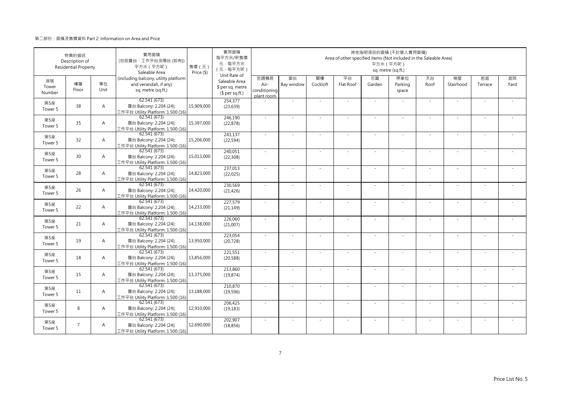|                       | 物業的描述<br>Description of<br><b>Residential Property</b> |                | 實用面積<br>(包括露台·工作平台及陽台(如有))<br>平方米 (平方呎)<br>Saleable Area                            | 售價 (元)<br>Price (\$) | 實用面積<br>每平方米/呎售價<br>元·每平方米<br>(元·每平方呎)<br>Unit Rate of |                                            |                          |                | Area of other specified items (Not included in the Saleable Area) | 平方米 (平方呎)<br>sq. metre (sq.ft.) | 其他指明項目的面積 (不計算入實用面積)    |            |                          |               |            |
|-----------------------|--------------------------------------------------------|----------------|-------------------------------------------------------------------------------------|----------------------|--------------------------------------------------------|--------------------------------------------|--------------------------|----------------|-------------------------------------------------------------------|---------------------------------|-------------------------|------------|--------------------------|---------------|------------|
| 座號<br>Tower<br>Number | 樓層<br>Floor                                            | 單位<br>Unit     | (including balcony, utility platform<br>and verandah, if any)<br>sq. metre (sq.ft.) |                      | Saleable Area<br>\$ per sq. metre<br>$$$ per sq.ft.)   | 空調機房<br>Air-<br>conditioning<br>plant room | 窗台<br>Bay window         | 閣樓<br>Cockloft | 平台<br>Flat Roof                                                   | 花園<br>Garden                    | 停車位<br>Parking<br>space | 天台<br>Roof | 梯屋<br>Stairhood          | 前庭<br>Terrace | 庭院<br>Yard |
| 第5座<br>Tower 5        | 38                                                     | $\overline{A}$ | 62.541(673)<br>露台 Balcony: 2.204 (24);<br>工作平台 Utility Platform: 1.500 (16)         | 15,909,000           | 254,377<br>(23, 639)                                   |                                            | ×.                       |                |                                                                   | ×.                              |                         | $\sim$     | $\sim$                   |               |            |
| 第5座<br>Tower 5        | 35                                                     | $\overline{A}$ | 62.541(673)<br>露台 Balcony: 2.204 (24);<br>工作平台 Utility Platform: 1.500 (16)         | 15,397,000           | 246,190<br>(22, 878)                                   | $\sim$                                     | ×.                       | $\sim$         | ÷.                                                                | ×.                              | $\sim$                  | $\sim$     | $\sim$                   | $\sim$        |            |
| 第5座<br>Tower 5        | 32                                                     | $\overline{A}$ | 62.541 (673)<br>露台 Balcony: 2.204 (24);<br>工作平台 Utility Platform: 1.500 (16)        | 15,206,000           | 243,137<br>(22, 594)                                   | ×.                                         | ×,                       |                |                                                                   | $\sim$                          |                         | $\sim$     | ÷                        |               |            |
| 第5座<br>Tower 5        | 30                                                     | $\overline{A}$ | 62.541(673)<br>露台 Balcony: 2.204 (24);<br>工作平台 Utility Platform: 1.500 (16)         | 15,013,000           | 240,051<br>(22, 308)                                   | ×.                                         | $\sim$                   |                |                                                                   | ٠                               |                         | $\sim$     | ٠                        |               |            |
| 第5座<br>Tower 5        | 28                                                     | $\overline{A}$ | 62.541 (673)<br>露台 Balcony: 2.204 (24);<br>工作平台 Utility Platform: 1.500 (16)        | 14,823,000           | 237,013<br>(22, 025)                                   | $\mathbf{r}$                               | ×,                       |                | ÷.                                                                | $\sim$                          | $\sim$                  | ×.         | ٠                        |               |            |
| 第5座<br>Tower 5        | 26                                                     | $\overline{A}$ | 62.541 (673)<br>露台 Balcony: 2.204 (24);<br>工作平台 Utility Platform: 1.500 (16)        | 14,420,000           | 230,569<br>(21, 426)                                   | $\sim$                                     |                          |                |                                                                   |                                 |                         | $\sim$     | ÷,                       |               |            |
| 第5座<br>Tower 5        | 22                                                     | $\overline{A}$ | 62.541(673)<br>露台 Balcony: 2.204 (24);<br>工作平台 Utility Platform: 1.500 (16)         | 14,233,000           | 227,579<br>(21, 149)                                   | $\sim$                                     | ×.                       | $\sim$         | ×.                                                                | ×.                              | $\sim$                  | $\sim$     | $\sim$                   | $\sim$        | $\sim$     |
| 第5座<br>Tower 5        | 21                                                     | $\mathsf{A}$   | 62.541(673)<br>露台 Balcony: 2.204 (24);<br>工作平台 Utility Platform: 1.500 (16)         | 14,138,000           | 226,060<br>(21,007)                                    | ×.                                         |                          |                |                                                                   |                                 |                         | $\sim$     |                          |               |            |
| 第5座<br>Tower 5        | 19                                                     | $\overline{A}$ | 62.541 (673)<br>露台 Balcony: 2.204 (24);<br>工作平台 Utility Platform: 1.500 (16)        | 13,950,000           | 223,054<br>(20, 728)                                   | ÷.                                         | ×,                       |                | ÷.                                                                | ×.                              |                         | ×.         | ٠                        |               |            |
| 第5座<br>Tower 5        | 18                                                     | $\overline{A}$ | 62.541 (673)<br>露台 Balcony: 2.204 (24);<br>工作平台 Utility Platform: 1.500 (16)        | 13,856,000           | 221,551<br>(20, 588)                                   | ÷.                                         | ÷,                       |                | ÷.                                                                | ×.                              | ×.                      | $\sim$     | ÷,                       |               |            |
| 第5座<br>Tower 5        | 15                                                     | $\overline{A}$ | 62.541 (673)<br>露台 Balcony: 2.204 (24);<br>工作平台 Utility Platform: 1.500 (16)        | 13,375,000           | 213,860<br>(19, 874)                                   | $\sim$                                     | ×,                       |                | ÷,                                                                | ÷.                              |                         | ×.         | ٠                        |               |            |
| 第5座<br>Tower 5        | 11                                                     | $\overline{A}$ | 62.541 (673)<br>露台 Balcony: 2.204 (24);<br>工作平台 Utility Platform: 1.500 (16)        | 13,188,000           | 210,870<br>(19, 596)                                   | ÷.                                         | ÷,                       |                | ÷,                                                                | $\sim$                          | $\sim$                  | $\sim$     | L.                       |               |            |
| 第5座<br>Tower 5        | 8                                                      | $\overline{A}$ | 62.541(673)<br>露台 Balcony: 2.204 (24);<br>工作平台 Utility Platform: 1.500 (16)         | 12,910,000           | 206,425<br>(19, 183)                                   | ÷.                                         |                          |                |                                                                   |                                 |                         | ×.         |                          |               |            |
| 第5座<br>Tower 5        | $7\overline{ }$                                        | $\overline{A}$ | 62.541 (673)<br>露台 Balcony: 2.204 (24);<br>工作平台 Utility Platform: 1.500 (16)        | 12,690,000           | 202,907<br>(18, 856)                                   | ×.                                         | $\overline{\phantom{a}}$ |                | ÷.                                                                | $\sim$                          |                         | ×.         | $\overline{\phantom{a}}$ |               |            |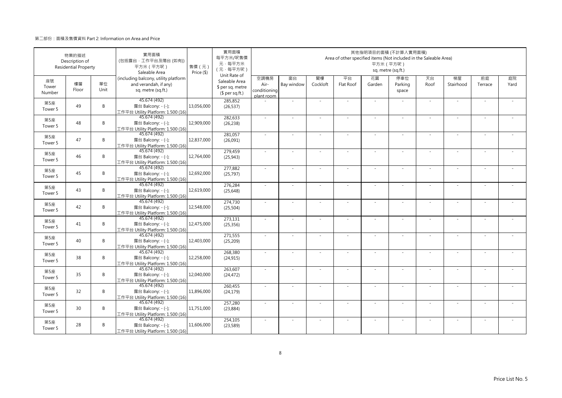|                           | 物業的描述<br>Description of<br><b>Residential Property</b> |            | 實用面積<br>(包括露台·工作平台及陽台(如有))<br>平方米 (平方呎)<br>Saleable Area                            | 售價 (元)<br>Price (\$) | 實用面積<br>每平方米/呎售價<br>元·每平方米<br>(元·每平方呎)<br>Unit Rate of |                                            |                  |                | Area of other specified items (Not included in the Saleable Area) | 平方米 (平方呎)    | 其他指明項目的面積 (不計算入實用面積)<br>sq. metre (sq.ft.) |            |                 |               |            |
|---------------------------|--------------------------------------------------------|------------|-------------------------------------------------------------------------------------|----------------------|--------------------------------------------------------|--------------------------------------------|------------------|----------------|-------------------------------------------------------------------|--------------|--------------------------------------------|------------|-----------------|---------------|------------|
| 座號<br>Tower<br>Number     | 樓層<br>Floor                                            | 單位<br>Unit | (including balcony, utility platform<br>and verandah, if any)<br>sq. metre (sq.ft.) |                      | Saleable Area<br>\$ per sq. metre<br>$$$ per sq.ft.)   | 空調機房<br>Air-<br>conditioning<br>plant room | 窗台<br>Bay window | 閣樓<br>Cockloft | 平台<br>Flat Roof                                                   | 花園<br>Garden | 停車位<br>Parking<br>space                    | 天台<br>Roof | 梯屋<br>Stairhood | 前庭<br>Terrace | 庭院<br>Yard |
| 第5座<br>Tower 5            | 49                                                     | B          | 45.674 (492)<br>露台 Balcony: - (-);<br>工作平台 Utility Platform: 1.500 (16)             | 13,056,000           | 285,852<br>(26, 537)                                   |                                            | ×.               |                | ÷.                                                                | $\sim$       |                                            | $\sim$     | $\sim$          |               |            |
| 第5座<br>Tower 5            | 48                                                     | B          | 45.674 (492)<br>露台 Balcony: - (-);<br>工作平台 Utility Platform: 1.500 (16)             | 12,909,000           | 282,633<br>(26, 238)                                   | $\sim$                                     | ×.               | $\sim$         | $\sim$                                                            | ×.           | $\sim$                                     | $\sim$     | $\sim$          | $\sim$        |            |
| 第5座<br>Tower 5            | 47                                                     | B          | 45.674 (492)<br>露台 Balcony: - (-);<br>工作平台 Utility Platform: 1.500 (16)             | 12,837,000           | 281,057<br>(26,091)                                    | ×.                                         | ×.               |                | ÷.                                                                | $\sim$       |                                            | $\sim$     | ÷.              |               |            |
| 第5座<br>Tower 5            | 46                                                     | B          | 45.674 (492)<br>露台 Balcony: - (-);<br>工作平台 Utility Platform: 1.500 (16)             | 12,764,000           | 279,459<br>(25, 943)                                   | ×.                                         | $\sim$           |                |                                                                   | ÷,           |                                            | $\sim$     | ٠               |               |            |
| 第5座<br>Tower 5            | 45                                                     | B          | 45.674 (492)<br>露台 Balcony: - (-);<br>工作平台 Utility Platform: 1.500 (16)             | 12,692,000           | 277,882<br>(25, 797)                                   | $\sim$                                     | $\sim$           |                | $\overline{\phantom{a}}$                                          | $\sim$       | $\sim$                                     | $\sim$     | $\sim$          |               |            |
| 第5座<br>Tower 5            | 43                                                     | B          | 45.674 (492)<br>露台 Balcony: - (-);<br>工作平台 Utility Platform: 1.500 (16)             | 12,619,000           | 276,284<br>(25, 648)                                   |                                            |                  |                |                                                                   |              |                                            |            | ä,              |               |            |
| 第5座<br>Tower 5            | 42                                                     | B          | 45.674 (492)<br>露台 Balcony: - (-);<br>工作平台 Utility Platform: 1.500 (16)             | 12,548,000           | 274,730<br>(25, 504)                                   | $\sim$                                     | ×.               | $\sim$         | ÷.                                                                | ÷.           | $\sim$                                     | $\sim$     | $\sim$          | $\sim$        | $\sim$     |
| 第5座<br>Tower 5            | 41                                                     | B          | 45.674 (492)<br>露台 Balcony: - (-);<br>工作平台 Utility Platform: 1.500 (16)             | 12,475,000           | 273,131<br>(25, 356)                                   | $\sim$                                     |                  |                |                                                                   |              |                                            | $\sim$     |                 |               |            |
| 第5座<br>Tower 5            | 40                                                     | B          | 45.674 (492)<br>露台 Balcony: - (-);<br>工作平台 Utility Platform: 1.500 (16)             | 12,403,000           | 271,555<br>(25, 209)                                   | ×.                                         | ×.               |                | ÷.                                                                | ÷.           |                                            | ×.         | ×.              |               |            |
| 第5座<br>Tower <sub>5</sub> | 38                                                     | B          | 45.674 (492)<br>露台 Balcony: - (-);<br>工作平台 Utility Platform: 1.500 (16)             | 12,258,000           | 268,380<br>(24, 915)                                   | $\sim$                                     | $\sim$           |                | ÷.                                                                | ÷.           | ×.                                         | $\sim$     | $\sim$          |               |            |
| 第5座<br>Tower 5            | 35                                                     | B          | 45.674 (492)<br>露台 Balcony: - (-);<br>工作平台 Utility Platform: 1.500 (16)             | 12,040,000           | 263,607<br>(24, 472)                                   | $\sim$                                     | ×.               |                | ÷.                                                                | ÷.           |                                            | ×.         | ×.              |               |            |
| 第5座<br>Tower 5            | 32                                                     | B          | 45.674 (492)<br>露台 Balcony: - (-);<br>工作平台 Utility Platform: 1.500 (16)             | 11,896,000           | 260,455<br>(24, 179)                                   | $\sim$                                     | $\sim$           |                | ÷,                                                                | ÷,           | $\sim$                                     | $\sim$     | $\sim$          |               |            |
| 第5座<br>Tower 5            | 30                                                     | B          | 45.674 (492)<br>露台 Balcony: - (-);<br>工作平台 Utility Platform: 1.500 (16)             | 11,751,000           | 257,280<br>(23, 884)                                   |                                            |                  |                |                                                                   |              |                                            |            |                 |               |            |
| 第5座<br>Tower 5            | 28                                                     | B          | 45.674 (492)<br>露台 Balcony: - (-);<br>工作平台 Utility Platform: 1.500 (16)             | 11,606,000           | 254,105<br>(23, 589)                                   | $\sim$                                     | $\sim$           |                | $\sim$                                                            | $\sim$       |                                            | ×.         | $\sim$          |               |            |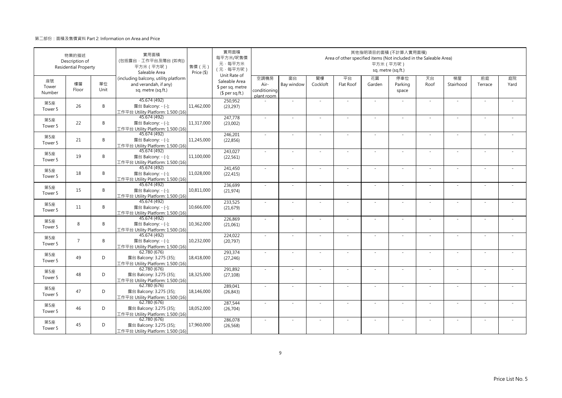|                           | 物業的描述<br>Description of<br><b>Residential Property</b> |            | 實用面積<br>(包括露台·工作平台及陽台(如有))<br>平方米 (平方呎)<br>Saleable Area                            | 售價(元)<br>Price (\$) | 實用面積<br>每平方米/呎售價<br>元·每平方米<br>(元·每平方呎)<br>Unit Rate of |                                            |                          |                | Area of other specified items (Not included in the Saleable Area) | 其他指明項目的面積 (不計算入實用面積)<br>平方米 (平方呎)<br>sq. metre (sq.ft.) |                         |            |                          |               |            |
|---------------------------|--------------------------------------------------------|------------|-------------------------------------------------------------------------------------|---------------------|--------------------------------------------------------|--------------------------------------------|--------------------------|----------------|-------------------------------------------------------------------|---------------------------------------------------------|-------------------------|------------|--------------------------|---------------|------------|
| 座號<br>Tower<br>Number     | 樓層<br>Floor                                            | 單位<br>Unit | (including balcony, utility platform<br>and verandah, if any)<br>sq. metre (sq.ft.) |                     | Saleable Area<br>\$ per sq. metre<br>$$$ per sq.ft.)   | 空調機房<br>Air-<br>conditioning<br>plant room | 窗台<br>Bay window         | 閣樓<br>Cockloft | 平台<br>Flat Roof                                                   | 花園<br>Garden                                            | 停車位<br>Parking<br>space | 天台<br>Roof | 梯屋<br>Stairhood          | 前庭<br>Terrace | 庭院<br>Yard |
| 第5座<br>Tower 5            | 26                                                     | B          | 45.674 (492)<br>露台 Balcony: - (-);<br>工作平台 Utility Platform: 1.500 (16)             | 11,462,000          | 250,952<br>(23, 297)                                   |                                            | ×.                       |                |                                                                   | ×.                                                      |                         | $\sim$     | $\sim$                   |               |            |
| 第5座<br>Tower 5            | 22                                                     | B          | 45.674 (492)<br>露台 Balcony: - (-);<br>工作平台 Utility Platform: 1.500 (16)             | 11,317,000          | 247.778<br>(23,002)                                    | $\sim$                                     | ×.                       | $\sim$         | ÷.                                                                | ×.                                                      | $\sim$                  | $\sim$     | $\sim$                   | $\sim$        |            |
| 第5座<br>Tower 5            | 21                                                     | B          | 45.674 (492)<br>露台 Balcony: - (-);<br>工作平台 Utility Platform: 1.500 (16)             | 11,245,000          | 246,201<br>(22, 856)                                   | $\sim$                                     | $\sim$                   |                | ÷.                                                                | $\sim$                                                  |                         | $\sim$     | ÷                        |               |            |
| 第5座<br>Tower 5            | 19                                                     | B          | 45.674 (492)<br>露台 Balcony: - (-);<br>工作平台 Utility Platform: 1.500 (16)             | 11,100,000          | 243,027<br>(22, 561)                                   | ×.                                         | $\sim$                   |                |                                                                   | ٠                                                       |                         | $\sim$     | ×,                       |               |            |
| 第5座<br>Tower 5            | 18                                                     | B          | 45.674 (492)<br>露台 Balcony: - (-);<br>工作平台 Utility Platform: 1.500 (16)             | 11,028,000          | 241,450<br>(22, 415)                                   | $\sim$                                     | $\sim$                   |                | ÷.                                                                | $\sim$                                                  | $\sim$                  | $\sim$     | ×,                       |               |            |
| 第5座<br>Tower 5            | 15                                                     | B          | 45.674 (492)<br>露台 Balcony: - (-);<br>工作平台 Utility Platform: 1.500 (16)             | 10,811,000          | 236,699<br>(21, 974)                                   | $\sim$                                     |                          |                |                                                                   |                                                         |                         | $\sim$     | ÷,                       |               |            |
| 第5座<br>Tower 5            | 11                                                     | B          | 45.674 (492)<br>露台 Balcony: - (-);<br>工作平台 Utility Platform: 1.500 (16)             | 10,666,000          | 233,525<br>(21, 679)                                   | $\sim$                                     | ×.                       | $\sim$         | $\sim$                                                            | ×.                                                      | $\sim$                  | $\sim$     | $\sim$                   | $\sim$        | $\sim$     |
| 第5座<br>Tower 5            | 8                                                      | B          | 45.674 (492)<br>露台 Balcony: - (-);<br>工作平台 Utility Platform: 1.500 (16)             | 10,362,000          | 226,869<br>(21,061)                                    | ×.                                         |                          |                |                                                                   |                                                         |                         | $\sim$     |                          |               |            |
| 第5座<br>Tower 5            | $\overline{7}$                                         | B          | 45.674 (492)<br>露台 Balcony: - (-);<br>工作平台 Utility Platform: 1.500 (16)             | 10,232,000          | 224,022<br>(20, 797)                                   | ÷.                                         | ×.                       |                | ÷.                                                                | ×.                                                      |                         | ×.         | ٠                        |               |            |
| 第5座<br>Tower 5            | 49                                                     | D          | 62.780 (676)<br>露台 Balcony: 3.275 (35);<br>工作平台 Utility Platform: 1.500 (16)        | 18,418,000          | 293,374<br>(27, 246)                                   | ÷.                                         | $\sim$                   |                | ÷.                                                                | ×.                                                      | ×.                      | $\sim$     | $\sim$                   |               |            |
| 第5座<br>Tower <sub>5</sub> | 48                                                     | D          | 62.780(676)<br>露台 Balcony: 3.275 (35);<br>工作平台 Utility Platform: 1.500 (16)         | 18,325,000          | 291,892<br>(27, 108)                                   | ×.                                         | ×.                       | $\sim$         | ÷,                                                                | ×.                                                      |                         | ×.         | ٠                        |               |            |
| 第5座<br>Tower 5            | 47                                                     | D          | 62.780 (676)<br>露台 Balcony: 3.275 (35);<br>工作平台 Utility Platform: 1.500 (16)        | 18,146,000          | 289,041<br>(26, 843)                                   | ÷.                                         | ÷,                       | $\sim$         | ÷,                                                                | $\sim$                                                  | $\sim$                  | $\sim$     | ä,                       | $\sim$        |            |
| 第5座<br>Tower 5            | 46                                                     | D          | 62.780 (676)<br>露台 Balcony: 3.275 (35);<br>工作平台 Utility Platform: 1.500 (16)        | 18,052,000          | 287,544<br>(26, 704)                                   | ÷.                                         |                          |                |                                                                   |                                                         |                         | ×.         |                          |               |            |
| 第5座<br>Tower 5            | 45                                                     | D          | 62.780 (676)<br>露台 Balcony: 3.275 (35);<br>工作平台 Utility Platform: 1.500 (16)        | 17,960,000          | 286,078<br>(26, 568)                                   | ×.                                         | $\overline{\phantom{a}}$ |                | ÷.                                                                | $\sim$                                                  | $\sim$                  | ×.         | $\overline{\phantom{a}}$ |               |            |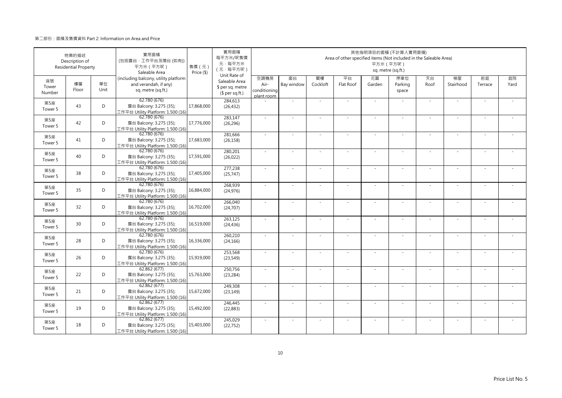|                       | 物業的描述<br>Description of<br><b>Residential Property</b> |            | 實用面積<br>(包括露台·工作平台及陽台(如有))<br>平方米 (平方呎)<br>Saleable Area                            | 售價 (元)<br>Price (\$) | 實用面積<br>每平方米/呎售價<br>元·每平方米<br>(元·每平方呎)                               |                                            |                  |                | Area of other specified items (Not included in the Saleable Area) | 平方米 (平方呎)    | 其他指明項目的面積 (不計算入實用面積)<br>sq. metre (sq.ft.) |            |                 |               |            |
|-----------------------|--------------------------------------------------------|------------|-------------------------------------------------------------------------------------|----------------------|----------------------------------------------------------------------|--------------------------------------------|------------------|----------------|-------------------------------------------------------------------|--------------|--------------------------------------------|------------|-----------------|---------------|------------|
| 座號<br>Tower<br>Number | 樓層<br>Floor                                            | 單位<br>Unit | (including balcony, utility platform<br>and verandah, if any)<br>sq. metre (sq.ft.) |                      | Unit Rate of<br>Saleable Area<br>\$ per sq. metre<br>$$$ per sq.ft.) | 空調機房<br>Air-<br>conditioning<br>plant room | 窗台<br>Bay window | 閣樓<br>Cockloft | 平台<br>Flat Roof                                                   | 花園<br>Garden | 停車位<br>Parking<br>space                    | 天台<br>Roof | 梯屋<br>Stairhood | 前庭<br>Terrace | 庭院<br>Yard |
| 第5座<br>Tower 5        | 43                                                     | D          | 62.780 (676)<br>露台 Balcony: 3.275 (35);<br>工作平台 Utility Platform: 1.500 (16)        | 17,868,000           | 284,613<br>(26, 432)                                                 |                                            | ×.               |                |                                                                   | ÷.           |                                            | $\sim$     | $\sim$          |               |            |
| 第5座<br>Tower 5        | 42                                                     | D          | 62.780(676)<br>露台 Balcony: 3.275 (35);<br>工作平台 Utility Platform: 1.500 (16)         | 17,776,000           | 283,147<br>(26, 296)                                                 | $\sim$                                     | $\sim$           | $\sim$         | $\sim$                                                            | ×.           | $\sim$                                     | $\sim$     | $\sim$          |               |            |
| 第5座<br>Tower 5        | 41                                                     | D          | 62.780 (676)<br>露台 Balcony: 3.275 (35);<br>工作平台 Utility Platform: 1.500 (16)        | 17,683,000           | 281,666<br>(26, 158)                                                 | $\sim$                                     | ×.               |                | ÷.                                                                | ÷.           |                                            | ×.         | J.              |               |            |
| 第5座<br>Tower 5        | 40                                                     | D          | 62.780(676)<br>露台 Balcony: 3.275 (35);<br>工作平台 Utility Platform: 1.500 (16)         | 17,591,000           | 280,201<br>(26, 022)                                                 | $\sim$                                     | ä,               |                |                                                                   |              |                                            | ×.         | ×.              |               |            |
| 第5座<br>Tower 5        | 38                                                     | D          | 62.780 (676)<br>露台 Balcony: 3.275 (35);<br>工作平台 Utility Platform: 1.500 (16)        | 17,405,000           | 277,238<br>(25, 747)                                                 | $\sim$                                     | ×.               |                | ÷.                                                                | ÷.           | $\sim$                                     | $\sim$     | $\sim$          |               |            |
| 第5座<br>Tower 5        | 35                                                     | D          | 62.780 (676)<br>露台 Balcony: 3.275 (35);<br>工作平台 Utility Platform: 1.500 (16)        | 16,884,000           | 268,939<br>(24, 976)                                                 | $\sim$                                     | $\sim$           |                | ÷,                                                                | ÷,           |                                            | $\sim$     | $\sim$          |               |            |
| 第5座<br>Tower 5        | 32                                                     | D          | 62.780(676)<br>露台 Balcony: 3.275 (35);<br>工作平台 Utility Platform: 1.500 (16)         | 16,702,000           | 266.040<br>(24, 707)                                                 | $\sim$                                     | $\sim$           | $\sim$         | ×                                                                 | ÷.           | $\sim$                                     | $\omega$   | $\bar{a}$       | $\sim$        |            |
| 第5座<br>Tower 5        | 30                                                     | D          | 62.780 (676)<br>露台 Balcony: 3.275 (35);<br>工作平台 Utility Platform: 1.500 (16)        | 16,519,000           | 263,125<br>(24, 436)                                                 | $\sim$                                     |                  |                |                                                                   |              |                                            | $\sim$     |                 |               |            |
| 第5座<br>Tower 5        | 28                                                     | D          | 62.780 (676)<br>露台 Balcony: 3.275 (35);<br>工作平台 Utility Platform: 1.500 (16)        | 16,336,000           | 260,210<br>(24, 166)                                                 | ×.                                         | $\sim$           |                |                                                                   |              |                                            | $\sim$     | $\sim$          |               |            |
| 第5座<br>Tower 5        | 26                                                     | D          | 62.780 (676)<br>露台 Balcony: 3.275 (35);<br>工作平台 Utility Platform: 1.500 (16)        | 15,919,000           | 253,568<br>(23, 549)                                                 | $\sim$                                     | ×.               |                | ÷.                                                                | ÷.           | $\sim$                                     | $\sim$     | ×.              |               |            |
| 第5座<br>Tower 5        | 22                                                     | D          | 62.862 (677)<br>露台 Balcony: 3.275 (35);<br>工作平台 Utility Platform: 1.500 (16)        | 15,763,000           | 250,756<br>(23, 284)                                                 |                                            |                  |                |                                                                   |              |                                            | $\sim$     |                 |               |            |
| 第5座<br>Tower 5        | 21                                                     | D          | 62.862 (677)<br>露台 Balcony: 3.275 (35);<br>工作平台 Utility Platform: 1.500 (16)        | 15,672,000           | 249,308<br>(23, 149)                                                 | $\sim$                                     | ×.               |                | $\sim$                                                            | ÷.           | $\sim$                                     | ×.         | ×.              |               |            |
| 第5座<br>Tower 5        | 19                                                     | D          | 62.862 (677)<br>露台 Balcony: 3.275 (35);<br>工作平台 Utility Platform: 1.500 (16)        | 15,492,000           | 246,445<br>(22, 883)                                                 | $\sim$                                     | ÷,               |                | $\overline{\phantom{a}}$                                          | ÷,           |                                            | $\sim$     | ÷,              |               |            |
| 第5座<br>Tower 5        | 18                                                     | D          | 62.862(677)<br>露台 Balcony: 3.275 (35);<br>工作平台 Utility Platform: 1.500 (16)         | 15,403,000           | 245,029<br>(22, 752)                                                 | ×.                                         |                  |                |                                                                   |              |                                            | $\sim$     | J,              |               |            |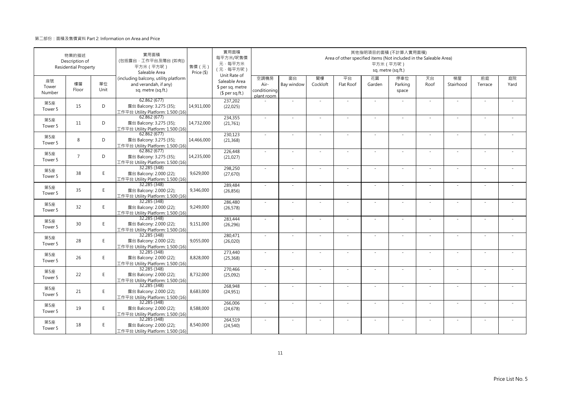|                       | 物業的描述<br>Description of<br><b>Residential Property</b> |            | 實用面積<br>(包括露台·工作平台及陽台 (如有))<br>平方米 (平方呎)<br>Saleable Area                           | 售價(元)<br>Price (\$) | 實用面積<br>每平方米/呎售價<br>元·每平方米<br>(元·每平方呎)               | 其他指明項目的面積 (不計算入實用面積)<br>Area of other specified items (Not included in the Saleable Area)<br>平方米 (平方呎)<br>sq. metre (sq.ft.)<br>Unit Rate of |                          |                |                 |                          |                         |            |                          |               |            |  |  |
|-----------------------|--------------------------------------------------------|------------|-------------------------------------------------------------------------------------|---------------------|------------------------------------------------------|----------------------------------------------------------------------------------------------------------------------------------------------|--------------------------|----------------|-----------------|--------------------------|-------------------------|------------|--------------------------|---------------|------------|--|--|
| 座號<br>Tower<br>Number | 樓層<br>Floor                                            | 單位<br>Unit | (including balcony, utility platform<br>and verandah, if any)<br>sq. metre (sq.ft.) |                     | Saleable Area<br>\$ per sq. metre<br>$$$ per sq.ft.) | 空調機房<br>Air-<br>conditioning<br>plant room                                                                                                   | 窗台<br>Bay window         | 閣樓<br>Cockloft | 平台<br>Flat Roof | 花園<br>Garden             | 停車位<br>Parking<br>space | 天台<br>Roof | 梯屋<br>Stairhood          | 前庭<br>Terrace | 庭院<br>Yard |  |  |
| 第5座<br>Tower 5        | 15                                                     | D          | 62.862(677)<br>露台 Balcony: 3.275 (35);<br>工作平台 Utility Platform: 1.500 (16)         | 14,911,000          | 237,202<br>(22,025)                                  |                                                                                                                                              | ÷,                       |                |                 | ×.                       |                         | ×.         | ä,                       |               |            |  |  |
| 第5座<br>Tower 5        | 11                                                     | D          | 62.862(677)<br>露台 Balcony: 3.275 (35);<br>工作平台 Utility Platform: 1.500 (16)         | 14,732,000          | 234,355<br>(21,761)                                  | ×.                                                                                                                                           | ×.                       |                | ÷.              | $\sim$                   | $\sim$                  | ×.         | ×,                       |               |            |  |  |
| 第5座<br>Tower 5        | 8                                                      | D          | 62.862 (677)<br>露台 Balcony: 3.275 (35);<br>工作平台 Utility Platform: 1.500 (16)        | 14,466,000          | 230,123<br>(21, 368)                                 | ×.                                                                                                                                           |                          |                |                 |                          |                         | ×.         |                          |               |            |  |  |
| 第5座<br>Tower 5        | $\overline{7}$                                         | D          | 62.862(677)<br>露台 Balcony: 3.275 (35);<br>工作平台 Utility Platform: 1.500 (16)         | 14,235,000          | 226,448<br>(21,027)                                  | $\sim$                                                                                                                                       | $\overline{\phantom{a}}$ |                |                 | $\overline{\phantom{0}}$ |                         | $\sim$     | $\overline{\phantom{a}}$ |               |            |  |  |
| 第5座<br>Tower 5        | 38                                                     | E.         | 32.285 (348)<br>露台 Balcony: 2.000 (22);<br>工作平台 Utility Platform: 1.500 (16)        | 9,629,000           | 298,250<br>(27, 670)                                 | $\sim$                                                                                                                                       | ×.                       |                | ÷.              | $\sim$                   | $\sim$                  | $\sim$     | ×,                       |               |            |  |  |
| 第5座<br>Tower 5        | 35                                                     | E.         | 32.285 (348)<br>露台 Balcony: 2.000 (22);<br>工作平台 Utility Platform: 1.500 (16)        | 9,346,000           | 289,484<br>(26, 856)                                 |                                                                                                                                              | ä,                       |                |                 |                          |                         | $\sim$     | ÷,                       |               |            |  |  |
| 第5座<br>Tower 5        | 32                                                     | E          | 32.285 (348)<br>露台 Balcony: 2.000 (22);<br>工作平台 Utility Platform: 1.500 (16)        | 9,249,000           | 286,480<br>(26, 578)                                 | $\sim$                                                                                                                                       | ×.                       |                | ÷.              | ×.                       |                         | ×.         | ×,                       |               |            |  |  |
| 第5座<br>Tower 5        | 30                                                     | E          | 32.285 (348)<br>露台 Balcony: 2.000 (22);<br>工作平台 Utility Platform: 1.500 (16)        | 9,151,000           | 283,444<br>(26, 296)                                 | ÷.                                                                                                                                           |                          |                |                 |                          |                         |            |                          |               |            |  |  |
| 第5座<br>Tower 5        | 28                                                     | E.         | 32.285 (348)<br>露台 Balcony: 2.000 (22);<br>工作平台 Utility Platform: 1.500 (16)        | 9,055,000           | 280,471<br>(26, 020)                                 | ×.                                                                                                                                           | $\overline{\phantom{a}}$ |                |                 | ٠                        |                         | ×.         | $\overline{\phantom{a}}$ |               |            |  |  |
| 第5座<br>Tower 5        | 26                                                     | E.         | 32.285 (348)<br>露台 Balcony: 2.000 (22);<br>工作平台 Utility Platform: 1.500 (16)        | 8,828,000           | 273,440<br>(25, 368)                                 | $\sim$                                                                                                                                       | $\sim$                   | $\sim$         | ÷,              | $\sim$                   | $\sim$                  | $\sim$     | $\sim$                   | $\sim$        |            |  |  |
| 第5座<br>Tower 5        | 22                                                     | E.         | 32.285 (348)<br>露台 Balcony: 2.000 (22);<br>工作平台 Utility Platform: 1.500 (16)        | 8,732,000           | 270,466<br>(25,092)                                  |                                                                                                                                              |                          |                |                 |                          |                         |            |                          |               |            |  |  |
| 第5座<br>Tower 5        | 21                                                     | E          | 32.285 (348)<br>露台 Balcony: 2.000 (22);<br>工作平台 Utility Platform: 1.500 (16)        | 8,683,000           | 268,948<br>(24, 951)                                 | $\sim$                                                                                                                                       | ×.                       |                | ÷.              | $\sim$                   | $\sim$                  | $\sim$     | $\sim$                   |               |            |  |  |
| 第5座<br>Tower 5        | 19                                                     | E          | 32.285 (348)<br>露台 Balcony: 2.000 (22);<br>工作平台 Utility Platform: 1.500 (16)        | 8,588,000           | 266,006<br>(24, 678)                                 | ×.                                                                                                                                           | ÷.                       |                |                 | ÷                        |                         | $\sim$     | ÷,                       |               |            |  |  |
| 第5座<br>Tower 5        | 18                                                     | E.         | 32.285 (348)<br>露台 Balcony: 2.000 (22);<br>工作平台 Utility Platform: 1.500 (16)        | 8,540,000           | 264,519<br>(24, 540)                                 | ×.                                                                                                                                           | ÷,                       |                |                 |                          |                         | $\sim$     | ÷,                       |               |            |  |  |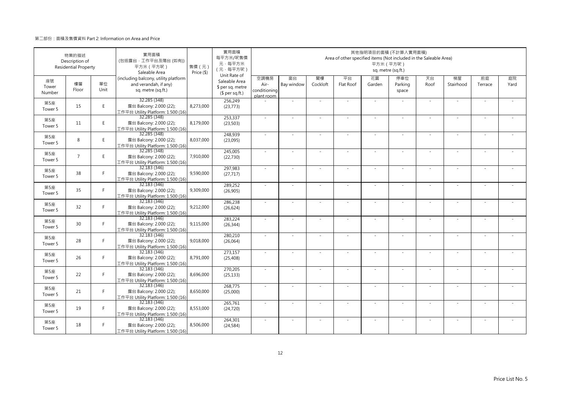|                       | 物業的描述<br>Description of<br><b>Residential Property</b> |            | 實用面積<br>(包括露台·工作平台及陽台(如有))<br>平方米 (平方呎)<br>Saleable Area                            | 售價 (元)<br>Price (\$) | 實用面積<br>每平方米/呎售價<br>元·每平方米<br>(元·每平方呎)               | 其他指明項目的面積 (不計算入實用面積)<br>Area of other specified items (Not included in the Saleable Area)<br>平方米 (平方呎)<br>sq. metre (sq.ft.)<br>Unit Rate of |                  |                |                 |              |                         |            |                 |               |            |  |  |
|-----------------------|--------------------------------------------------------|------------|-------------------------------------------------------------------------------------|----------------------|------------------------------------------------------|----------------------------------------------------------------------------------------------------------------------------------------------|------------------|----------------|-----------------|--------------|-------------------------|------------|-----------------|---------------|------------|--|--|
| 座號<br>Tower<br>Number | 樓層<br>Floor                                            | 單位<br>Unit | (including balcony, utility platform<br>and verandah, if any)<br>sq. metre (sq.ft.) |                      | Saleable Area<br>\$ per sq. metre<br>$$$ per sq.ft.) | 空調機房<br>Air-<br>conditioning<br>plant room                                                                                                   | 窗台<br>Bay window | 閣樓<br>Cockloft | 平台<br>Flat Roof | 花園<br>Garden | 停車位<br>Parking<br>space | 天台<br>Roof | 梯屋<br>Stairhood | 前庭<br>Terrace | 庭院<br>Yard |  |  |
| 第5座<br>Tower 5        | 15                                                     | E          | 32.285 (348)<br>露台 Balcony: 2.000 (22);<br>工作平台 Utility Platform: 1.500 (16)        | 8,273,000            | 256,249<br>(23, 773)                                 |                                                                                                                                              | ×.               |                |                 | $\sim$       |                         | $\sim$     | $\sim$          |               |            |  |  |
| 第5座<br>Tower 5        | 11                                                     | E          | 32.285 (348)<br>露台 Balcony: 2.000 (22);<br>工作平台 Utility Platform: 1.500 (16)        | 8,179,000            | 253,337<br>(23, 503)                                 | $\sim$                                                                                                                                       | $\sim$           | $\sim$         | $\sim$          | ×.           | $\sim$                  | $\sim$     | $\sim$          |               |            |  |  |
| 第5座<br>Tower 5        | 8                                                      | E.         | 32.285 (348)<br>露台 Balcony: 2.000 (22);<br>工作平台 Utility Platform: 1.500 (16)        | 8,037,000            | 248,939<br>(23,095)                                  | $\sim$                                                                                                                                       | ×.               |                | ÷.              | ÷.           |                         | ×.         | J.              |               |            |  |  |
| 第5座<br>Tower 5        | $\overline{7}$                                         | E          | 32.285 (348)<br>露台 Balcony: 2.000 (22);<br>工作平台 Utility Platform: 1.500 (16)        | 7,910,000            | 245,005<br>(22, 730)                                 | $\sim$                                                                                                                                       | ä,               |                |                 |              |                         | ×.         | ×.              |               |            |  |  |
| 第5座<br>Tower 5        | 38                                                     | F.         | 32.183 (346)<br>露台 Balcony: 2.000 (22);<br>工作平台 Utility Platform: 1.500 (16)        | 9,590,000            | 297,983<br>(27, 717)                                 | $\sim$                                                                                                                                       | ×.               |                | ÷.              | ä,           | $\sim$                  | $\sim$     | $\sim$          |               |            |  |  |
| 第5座<br>Tower 5        | 35                                                     | F          | 32.183 (346)<br>露台 Balcony: 2.000 (22);<br>工作平台 Utility Platform: 1.500 (16)        | 9,309,000            | 289,252<br>(26,905)                                  | $\sim$                                                                                                                                       | ä,               |                |                 |              |                         | $\sim$     | $\sim$          |               |            |  |  |
| 第5座<br>Tower 5        | 32                                                     | F.         | 32.183 (346)<br>露台 Balcony: 2.000 (22);<br>工作平台 Utility Platform: 1.500 (16)        | 9,212,000            | 286,238<br>(26, 624)                                 | $\sim$                                                                                                                                       | $\sim$           | $\sim$         | ×               | ÷,           | $\sim$                  | $\omega$   | $\bar{a}$       | $\sim$        |            |  |  |
| 第5座<br>Tower 5        | 30                                                     | F.         | 32.183 (346)<br>露台 Balcony: 2.000 (22);<br>工作平台 Utility Platform: 1.500 (16)        | 9,115,000            | 283,224<br>(26, 344)                                 | $\sim$                                                                                                                                       |                  |                |                 |              |                         | $\sim$     |                 |               |            |  |  |
| 第5座<br>Tower 5        | 28                                                     | F.         | 32.183 (346)<br>露台 Balcony: 2.000 (22);<br>工作平台 Utility Platform: 1.500 (16)        | 9,018,000            | 280,210<br>(26,064)                                  | ×.                                                                                                                                           | $\sim$           |                |                 |              |                         | $\sim$     | ٠               |               |            |  |  |
| 第5座<br>Tower 5        | 26                                                     | F.         | 32.183 (346)<br>露台 Balcony: 2.000 (22);<br>工作平台 Utility Platform: 1.500 (16)        | 8,791,000            | 273,157<br>(25, 408)                                 | $\sim$                                                                                                                                       | ×.               |                | ÷.              | ÷.           | $\sim$                  | $\sim$     | ×.              |               |            |  |  |
| 第5座<br>Tower 5        | 22                                                     | F.         | 32.183 (346)<br>露台 Balcony: 2.000 (22);<br>工作平台 Utility Platform: 1.500 (16)        | 8,696,000            | 270,205<br>(25, 133)                                 |                                                                                                                                              |                  |                |                 |              |                         |            |                 |               |            |  |  |
| 第5座<br>Tower 5        | 21                                                     | F.         | 32.183 (346)<br>露台 Balcony: 2.000 (22);<br>工作平台 Utility Platform: 1.500 (16)        | 8,650,000            | 268,775<br>(25,000)                                  | ×.                                                                                                                                           | ×.               |                | $\sim$          | ÷.           | $\sim$                  | ×.         | ×.              |               |            |  |  |
| 第5座<br>Tower 5        | 19                                                     | F.         | 32.183 (346)<br>露台 Balcony: 2.000 (22);<br>工作平台 Utility Platform: 1.500 (16)        | 8,553,000            | 265,761<br>(24, 720)                                 | $\sim$                                                                                                                                       | ÷,               |                |                 | ٠            |                         | $\sim$     | ÷,              |               |            |  |  |
| 第5座<br>Tower 5        | 18                                                     | F.         | 32.183 (346)<br>露台 Balcony: 2.000 (22);<br>工作平台 Utility Platform: 1.500 (16)        | 8,506,000            | 264,301<br>(24, 584)                                 |                                                                                                                                              |                  |                |                 |              |                         | $\sim$     | J,              |               |            |  |  |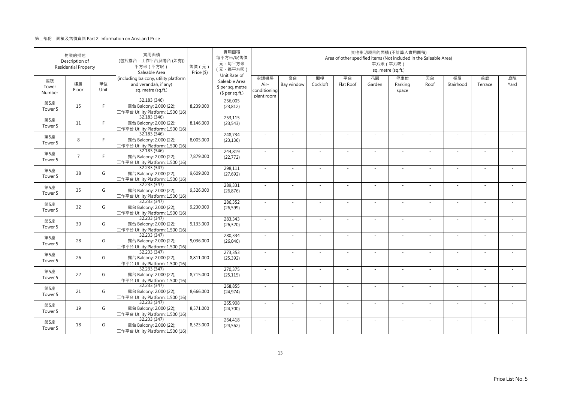|                       | 物業的描述<br>Description of<br><b>Residential Property</b> |            | 實用面積<br>(包括露台·工作平台及陽台(如有))<br>平方米 (平方呎)<br>Saleable Area                            | 售價 (元)<br>Price (\$) | 實用面積<br>每平方米/呎售價<br>元·每平方米<br>(元·每平方呎)               | 其他指明項目的面積 (不計算入實用面積)<br>Area of other specified items (Not included in the Saleable Area)<br>平方米 (平方呎)<br>sq. metre (sq.ft.)<br>Unit Rate of |                  |                |                 |              |                         |            |                 |               |            |
|-----------------------|--------------------------------------------------------|------------|-------------------------------------------------------------------------------------|----------------------|------------------------------------------------------|----------------------------------------------------------------------------------------------------------------------------------------------|------------------|----------------|-----------------|--------------|-------------------------|------------|-----------------|---------------|------------|
| 座號<br>Tower<br>Number | 樓層<br>Floor                                            | 單位<br>Unit | (including balcony, utility platform<br>and verandah, if any)<br>sq. metre (sq.ft.) |                      | Saleable Area<br>\$ per sq. metre<br>$$$ per sq.ft.) | 空調機房<br>Air-<br>conditioning<br>plant room                                                                                                   | 窗台<br>Bay window | 閣樓<br>Cockloft | 平台<br>Flat Roof | 花園<br>Garden | 停車位<br>Parking<br>space | 天台<br>Roof | 梯屋<br>Stairhood | 前庭<br>Terrace | 庭院<br>Yard |
| 第5座<br>Tower 5        | 15                                                     | F          | 32.183 (346)<br>露台 Balcony: 2.000 (22);<br>工作平台 Utility Platform: 1.500 (16)        | 8,239,000            | 256,005<br>(23, 812)                                 |                                                                                                                                              | ×.               |                |                 | $\sim$       |                         | $\sim$     | $\sim$          |               |            |
| 第5座<br>Tower 5        | 11                                                     | F.         | 32.183 (346)<br>露台 Balcony: 2.000 (22);<br>工作平台 Utility Platform: 1.500 (16)        | 8,146,000            | 253,115<br>(23, 543)                                 | $\sim$                                                                                                                                       | $\sim$           | $\sim$         | $\sim$          | ×.           | $\sim$                  | $\sim$     | $\sim$          |               |            |
| 第5座<br>Tower 5        | 8                                                      | F.         | 32.183 (346)<br>露台 Balcony: 2.000 (22);<br>工作平台 Utility Platform: 1.500 (16)        | 8,005,000            | 248,734<br>(23, 136)                                 | $\sim$                                                                                                                                       | ×.               |                | ÷.              | ä,           |                         | ×.         | J.              |               |            |
| 第5座<br>Tower 5        | $\overline{7}$                                         | F.         | 32.183 (346)<br>露台 Balcony: 2.000 (22);<br>工作平台 Utility Platform: 1.500 (16)        | 7,879,000            | 244,819<br>(22, 772)                                 | $\sim$                                                                                                                                       | ä,               |                |                 |              |                         | ×.         | ×.              |               |            |
| 第5座<br>Tower 5        | 38                                                     | G          | 32.233 (347)<br>露台 Balcony: 2.000 (22);<br>工作平台 Utility Platform: 1.500 (16)        | 9,609,000            | 298,111<br>(27, 692)                                 | $\sim$                                                                                                                                       | ×.               |                | ÷.              | ä,           | $\sim$                  | $\sim$     | $\sim$          |               |            |
| 第5座<br>Tower 5        | 35                                                     | G          | 32.233 (347)<br>露台 Balcony: 2.000 (22);<br>工作平台 Utility Platform: 1.500 (16)        | 9,326,000            | 289,331<br>(26, 876)                                 | $\sim$                                                                                                                                       | $\sim$           |                | ٠               | ä,           |                         | $\sim$     | $\sim$          |               |            |
| 第5座<br>Tower 5        | 32                                                     | G          | 32.233 (347)<br>露台 Balcony: 2.000 (22);<br>工作平台 Utility Platform: 1.500 (16)        | 9,230,000            | 286.352<br>(26, 599)                                 | $\sim$                                                                                                                                       | $\sim$           | $\sim$         | ×               | ÷.           | $\sim$                  | $\omega$   | $\bar{a}$       | $\sim$        |            |
| 第5座<br>Tower 5        | 30                                                     | G          | 32.233(347)<br>露台 Balcony: 2.000 (22);<br>工作平台 Utility Platform: 1.500 (16)         | 9,133,000            | 283,343<br>(26, 320)                                 | $\sim$                                                                                                                                       |                  |                |                 |              |                         | $\sim$     |                 |               |            |
| 第5座<br>Tower 5        | 28                                                     | G          | 32.233 (347)<br>露台 Balcony: 2.000 (22);<br>工作平台 Utility Platform: 1.500 (16)        | 9,036,000            | 280,334<br>(26,040)                                  | ×.                                                                                                                                           | $\sim$           |                |                 |              |                         | $\sim$     | $\sim$          |               |            |
| 第5座<br>Tower 5        | 26                                                     | G          | 32.233 (347)<br>露台 Balcony: 2.000 (22);<br>工作平台 Utility Platform: 1.500 (16)        | 8,811,000            | 273,353<br>(25, 392)                                 | $\sim$                                                                                                                                       | ×.               |                | ÷.              | ÷.           | $\sim$                  | $\sim$     | ×.              |               |            |
| 第5座<br>Tower 5        | 22                                                     | G          | 32.233 (347)<br>露台 Balcony: 2.000 (22);<br>工作平台 Utility Platform: 1.500 (16)        | 8,715,000            | 270,375<br>(25, 115)                                 |                                                                                                                                              |                  |                |                 |              |                         |            |                 |               |            |
| 第5座<br>Tower 5        | 21                                                     | G          | 32.233 (347)<br>露台 Balcony: 2.000 (22);<br>工作平台 Utility Platform: 1.500 (16)        | 8,666,000            | 268,855<br>(24, 974)                                 | ×.                                                                                                                                           | ×.               |                | $\sim$          | ÷.           | $\sim$                  | ×.         | ×.              |               |            |
| 第5座<br>Tower 5        | 19                                                     | G          | 32.233 (347)<br>露台 Balcony: 2.000 (22);<br>工作平台 Utility Platform: 1.500 (16)        | 8,571,000            | 265,908<br>(24,700)                                  | $\sim$                                                                                                                                       | ÷,               |                |                 | ٠            |                         | $\sim$     | ÷,              |               |            |
| 第5座<br>Tower 5        | 18                                                     | G          | 32.233 (347)<br>露台 Balcony: 2.000 (22);<br>工作平台 Utility Platform: 1.500 (16)        | 8,523,000            | 264,418<br>(24, 562)                                 |                                                                                                                                              |                  |                |                 |              |                         | $\sim$     | J,              |               |            |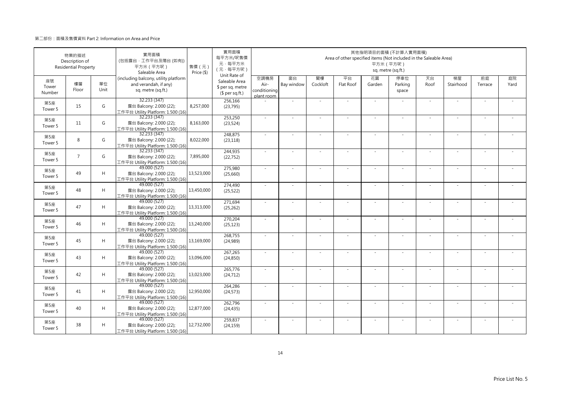|                           | 物業的描述<br>Description of<br><b>Residential Property</b> |            | 實用面積<br>(包括露台·工作平台及陽台(如有))<br>平方米 (平方呎)<br>Saleable Area                            | 售價 (元)<br>Price (\$) | 實用面積<br>每平方米/呎售價<br>元·每平方米<br>(元·每平方呎)<br>Unit Rate of | 其他指明項目的面積 (不計算入實用面積)<br>Area of other specified items (Not included in the Saleable Area)<br>平方米 (平方呎)<br>sq. metre (sq.ft.) |                  |                |                          |              |                         |            |                 |               |            |  |  |
|---------------------------|--------------------------------------------------------|------------|-------------------------------------------------------------------------------------|----------------------|--------------------------------------------------------|------------------------------------------------------------------------------------------------------------------------------|------------------|----------------|--------------------------|--------------|-------------------------|------------|-----------------|---------------|------------|--|--|
| 座號<br>Tower<br>Number     | 樓層<br>Floor                                            | 單位<br>Unit | (including balcony, utility platform<br>and verandah, if any)<br>sq. metre (sq.ft.) |                      | Saleable Area<br>\$ per sq. metre<br>$$$ per sq.ft.)   | 空調機房<br>Air-<br>conditioning<br>plant room                                                                                   | 窗台<br>Bay window | 閣樓<br>Cockloft | 平台<br>Flat Roof          | 花園<br>Garden | 停車位<br>Parking<br>space | 天台<br>Roof | 梯屋<br>Stairhood | 前庭<br>Terrace | 庭院<br>Yard |  |  |
| 第5座<br>Tower 5            | 15                                                     | G          | 32.233 (347)<br>露台 Balcony: 2.000 (22);<br>工作平台 Utility Platform: 1.500 (16)        | 8,257,000            | 256,166<br>(23, 795)                                   |                                                                                                                              | ×.               |                | ÷.                       | $\sim$       |                         | $\sim$     | $\sim$          |               |            |  |  |
| 第5座<br>Tower 5            | 11                                                     | G          | 32.233 (347)<br>露台 Balcony: 2.000 (22);<br>工作平台 Utility Platform: 1.500 (16)        | 8,163,000            | 253,250<br>(23, 524)                                   | $\sim$                                                                                                                       | ×.               | $\sim$         | $\sim$                   | ×.           | $\sim$                  | $\sim$     | $\sim$          | $\sim$        |            |  |  |
| 第5座<br>Tower 5            | 8                                                      | G          | 32.233 (347)<br>露台 Balcony: 2.000 (22);<br>工作平台 Utility Platform: 1.500 (16)        | 8,022,000            | 248,875<br>(23, 118)                                   | $\sim$                                                                                                                       | ×.               |                | ÷.                       | ÷,           |                         | $\sim$     | ÷.              |               |            |  |  |
| 第5座<br>Tower 5            | $\overline{7}$                                         | G          | 32.233 (347)<br>露台 Balcony: 2.000 (22);<br>工作平台 Utility Platform: 1.500 (16)        | 7,895,000            | 244,935<br>(22, 752)                                   | ×.                                                                                                                           | $\sim$           |                |                          | ÷,           |                         | $\sim$     | ٠               |               |            |  |  |
| 第5座<br>Tower 5            | 49                                                     | H          | 49.000 (527)<br>露台 Balcony: 2.000 (22);<br>工作平台 Utility Platform: 1.500 (16)        | 13,523,000           | 275,980<br>(25,660)                                    | $\sim$                                                                                                                       | $\sim$           |                | $\overline{\phantom{a}}$ | $\sim$       | $\sim$                  | $\sim$     | $\sim$          |               |            |  |  |
| 第5座<br>Tower 5            | 48                                                     | H          | 49.000 (527)<br>露台 Balcony: 2.000 (22);<br>工作平台 Utility Platform: 1.500 (16)        | 13,450,000           | 274,490<br>(25, 522)                                   |                                                                                                                              |                  |                |                          |              |                         |            | ä,              |               |            |  |  |
| 第5座<br>Tower 5            | 47                                                     | H          | 49.000 (527)<br>露台 Balcony: 2.000 (22);<br>工作平台 Utility Platform: 1.500 (16)        | 13,313,000           | 271,694<br>(25, 262)                                   | $\sim$                                                                                                                       | ×.               | $\sim$         | ÷.                       | ÷.           | $\sim$                  | $\sim$     | $\sim$          | $\sim$        | $\sim$     |  |  |
| 第5座<br>Tower 5            | 46                                                     | H          | 49.000 (527)<br>露台 Balcony: 2.000 (22);<br>工作平台 Utility Platform: 1.500 (16)        | 13,240,000           | 270,204<br>(25, 123)                                   | $\sim$                                                                                                                       |                  |                |                          |              |                         | $\sim$     |                 |               |            |  |  |
| 第5座<br>Tower 5            | 45                                                     | H          | 49.000 (527)<br>露台 Balcony: 2.000 (22);<br>工作平台 Utility Platform: 1.500 (16)        | 13,169,000           | 268,755<br>(24,989)                                    | ×.                                                                                                                           | ×.               |                | ÷.                       | ÷.           |                         | $\sim$     | ×.              |               |            |  |  |
| 第5座<br>Tower <sub>5</sub> | 43                                                     | H          | 49.000 (527)<br>露台 Balcony: 2.000 (22);<br>工作平台 Utility Platform: 1.500 (16)        | 13,096,000           | 267,265<br>(24, 850)                                   | $\sim$                                                                                                                       | $\sim$           |                | ÷.                       | ÷.           | $\sim$                  | $\sim$     | $\sim$          |               |            |  |  |
| 第5座<br>Tower 5            | 42                                                     | H          | 49.000 (527)<br>露台 Balcony: 2.000 (22);<br>工作平台 Utility Platform: 1.500 (16)        | 13,023,000           | 265,776<br>(24, 712)                                   | $\sim$                                                                                                                       | ×.               |                | ÷.                       | ÷.           |                         | ×.         | ×.              |               |            |  |  |
| 第5座<br>Tower 5            | 41                                                     | H          | 49.000 (527)<br>露台 Balcony: 2.000 (22);<br>工作平台 Utility Platform: 1.500 (16)        | 12,950,000           | 264,286<br>(24, 573)                                   | $\sim$                                                                                                                       | $\sim$           | $\sim$         | ÷,                       | ÷,           | $\sim$                  | $\sim$     | $\sim$          |               |            |  |  |
| 第5座<br>Tower 5            | 40                                                     | H          | 49.000 (527)<br>露台 Balcony: 2.000 (22);<br>工作平台 Utility Platform: 1.500 (16)        | 12,877,000           | 262,796<br>(24, 435)                                   | $\sim$                                                                                                                       |                  |                |                          |              |                         |            |                 |               |            |  |  |
| 第5座<br>Tower 5            | 38                                                     | H          | 49.000 (527)<br>露台 Balcony: 2.000 (22);<br>工作平台 Utility Platform: 1.500 (16)        | 12,732,000           | 259,837<br>(24, 159)                                   | $\sim$                                                                                                                       | ×.               |                | $\sim$                   | $\sim$       |                         | ×.         | $\sim$          |               |            |  |  |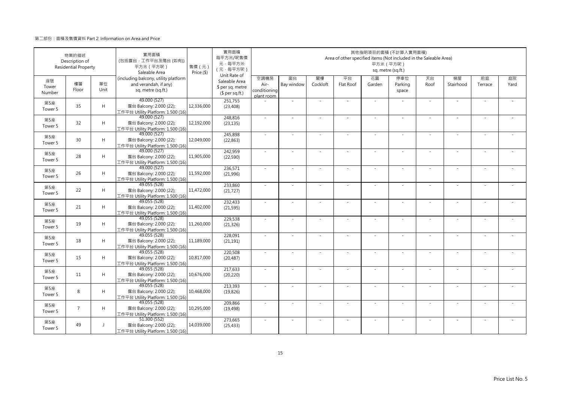|                       | 物業的描述<br>Description of<br><b>Residential Property</b> |                | 實用面積<br>(包括露台·工作平台及陽台(如有))<br>平方米 (平方呎)<br>Saleable Area                            | 售價 (元)<br>Price (\$) | 實用面積<br>每平方米/呎售價<br>元·每平方米<br>(元·每平方呎)               | 其他指明項目的面積 (不計算入實用面積)<br>Area of other specified items (Not included in the Saleable Area)<br>平方米 (平方呎)<br>sq. metre (sq.ft.)<br>Unit Rate of |                  |                |                 |              |                         |            |                 |               |            |  |  |
|-----------------------|--------------------------------------------------------|----------------|-------------------------------------------------------------------------------------|----------------------|------------------------------------------------------|----------------------------------------------------------------------------------------------------------------------------------------------|------------------|----------------|-----------------|--------------|-------------------------|------------|-----------------|---------------|------------|--|--|
| 座號<br>Tower<br>Number | 樓層<br>Floor                                            | 單位<br>Unit     | (including balcony, utility platform<br>and verandah, if any)<br>sq. metre (sq.ft.) |                      | Saleable Area<br>\$ per sq. metre<br>$$$ per sq.ft.) | 空調機房<br>Air-<br>conditioning<br>plant room                                                                                                   | 窗台<br>Bay window | 閣樓<br>Cockloft | 平台<br>Flat Roof | 花園<br>Garden | 停車位<br>Parking<br>space | 天台<br>Roof | 梯屋<br>Stairhood | 前庭<br>Terrace | 庭院<br>Yard |  |  |
| 第5座<br>Tower 5        | 35                                                     | H              | 49.000 (527)<br>露台 Balcony: 2.000 (22);<br>工作平台 Utility Platform: 1.500 (16)        | 12,336,000           | 251,755<br>(23, 408)                                 |                                                                                                                                              | ×.               |                |                 | ÷.           |                         | $\sim$     | $\sim$          |               |            |  |  |
| 第5座<br>Tower 5        | 32                                                     | H              | 49.000 (527)<br>露台 Balcony: 2.000 (22);<br>工作平台 Utility Platform: 1.500 (16)        | 12,192,000           | 248,816<br>(23, 135)                                 | $\sim$                                                                                                                                       | $\sim$           | $\sim$         | $\sim$          | ×.           | $\sim$                  | $\sim$     | $\sim$          |               |            |  |  |
| 第5座<br>Tower 5        | 30                                                     | H              | 49.000 (527)<br>露台 Balcony: 2.000 (22);<br>工作平台 Utility Platform: 1.500 (16)        | 12,049,000           | 245,898<br>(22, 863)                                 | $\sim$                                                                                                                                       | ×.               |                | ÷.              | ÷.           |                         | ×.         | J.              |               |            |  |  |
| 第5座<br>Tower 5        | 28                                                     | H              | 49.000 (527)<br>露台 Balcony: 2.000 (22);<br>工作平台 Utility Platform: 1.500 (16)        | 11,905,000           | 242,959<br>(22, 590)                                 | $\sim$                                                                                                                                       | ä,               |                |                 |              |                         | ×.         | ×.              |               |            |  |  |
| 第5座<br>Tower 5        | 26                                                     | H              | 49.000 (527)<br>露台 Balcony: 2.000 (22);<br>工作平台 Utility Platform: 1.500 (16)        | 11,592,000           | 236,571<br>(21,996)                                  | $\sim$                                                                                                                                       | ×.               |                | ÷.              | ä,           | $\sim$                  | $\sim$     | $\sim$          |               |            |  |  |
| 第5座<br>Tower 5        | 22                                                     | H              | 49.055 (528)<br>露台 Balcony: 2.000 (22);<br>工作平台 Utility Platform: 1.500 (16)        | 11,472,000           | 233,860<br>(21, 727)                                 | $\sim$                                                                                                                                       | $\sim$           |                | ٠               | ä,           |                         | $\sim$     | $\sim$          |               |            |  |  |
| 第5座<br>Tower 5        | 21                                                     | H              | 49.055 (528)<br>露台 Balcony: 2.000 (22);<br>工作平台 Utility Platform: 1.500 (16)        | 11,402,000           | 232,433<br>(21, 595)                                 | $\sim$                                                                                                                                       | $\sim$           | $\sim$         | ×               | ÷.           | $\sim$                  | $\sim$     | $\bar{a}$       | $\sim$        |            |  |  |
| 第5座<br>Tower 5        | 19                                                     | H              | 49.055 (528)<br>露台 Balcony: 2.000 (22);<br>工作平台 Utility Platform: 1.500 (16)        | 11,260,000           | 229,538<br>(21, 326)                                 | ×.                                                                                                                                           |                  |                |                 |              |                         | $\sim$     |                 |               |            |  |  |
| 第5座<br>Tower 5        | 18                                                     | H              | 49.055 (528)<br>露台 Balcony: 2.000 (22);<br>工作平台 Utility Platform: 1.500 (16)        | 11,189,000           | 228,091<br>(21, 191)                                 | ×.                                                                                                                                           | $\sim$           |                |                 |              |                         | $\sim$     | $\sim$          |               |            |  |  |
| 第5座<br>Tower 5        | 15                                                     | H              | 49.055 (528)<br>露台 Balcony: 2.000 (22);<br>工作平台 Utility Platform: 1.500 (16)        | 10,817,000           | 220,508<br>(20, 487)                                 | $\sim$                                                                                                                                       | ×.               |                | ÷.              | ÷.           | $\sim$                  | $\sim$     | ×.              |               |            |  |  |
| 第5座<br>Tower 5        | 11                                                     | H              | 49.055 (528)<br>露台 Balcony: 2.000 (22);<br>工作平台 Utility Platform: 1.500 (16)        | 10,676,000           | 217,633<br>(20, 220)                                 |                                                                                                                                              |                  |                |                 |              |                         |            |                 |               |            |  |  |
| 第5座<br>Tower 5        | 8                                                      | H              | 49.055 (528)<br>露台 Balcony: 2.000 (22);<br>工作平台 Utility Platform: 1.500 (16)        | 10,468,000           | 213,393<br>(19, 826)                                 | $\sim$                                                                                                                                       | ×.               |                | $\sim$          | ÷.           | $\sim$                  | ×.         | ×.              |               |            |  |  |
| 第5座<br>Tower 5        | $\overline{7}$                                         | H              | 49.055 (528)<br>露台 Balcony: 2.000 (22);<br>工作平台 Utility Platform: 1.500 (16)        | 10,295,000           | 209,866<br>(19, 498)                                 | $\sim$                                                                                                                                       | ÷,               |                |                 | ٠            |                         | $\sim$     | ÷,              |               |            |  |  |
| 第5座<br>Tower 5        | 49                                                     | $\overline{1}$ | 51.300 (552)<br>露台 Balcony: 2.000 (22);<br>工作平台 Utility Platform: 1.500 (16)        | 14,039,000           | 273,665<br>(25, 433)                                 |                                                                                                                                              |                  |                |                 |              |                         | $\sim$     | J,              |               |            |  |  |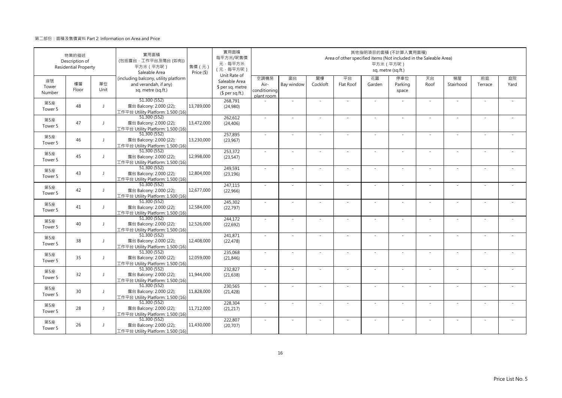|                           | 物業的描述<br>Description of<br><b>Residential Property</b> |                          | 實用面積<br>(包括露台·工作平台及陽台(如有))<br>平方米 (平方呎)<br>Saleable Area                            | 售價 (元)<br>Price (\$) | 實用面積<br>每平方米/呎售價<br>元·每平方米<br>(元·每平方呎)               | 其他指明項目的面積 (不計算入實用面積)<br>Area of other specified items (Not included in the Saleable Area)<br>平方米 (平方呎)<br>sq. metre (sq.ft.)<br>Unit Rate of |                  |                |                          |              |                         |            |                 |               |            |  |  |  |
|---------------------------|--------------------------------------------------------|--------------------------|-------------------------------------------------------------------------------------|----------------------|------------------------------------------------------|----------------------------------------------------------------------------------------------------------------------------------------------|------------------|----------------|--------------------------|--------------|-------------------------|------------|-----------------|---------------|------------|--|--|--|
| 座號<br>Tower<br>Number     | 樓層<br>Floor                                            | 單位<br>Unit               | (including balcony, utility platform<br>and verandah, if any)<br>sq. metre (sq.ft.) |                      | Saleable Area<br>\$ per sq. metre<br>$$$ per sq.ft.) | 空調機房<br>Air-<br>conditioning<br>plant room                                                                                                   | 窗台<br>Bay window | 閣樓<br>Cockloft | 平台<br>Flat Roof          | 花園<br>Garden | 停車位<br>Parking<br>space | 天台<br>Roof | 梯屋<br>Stairhood | 前庭<br>Terrace | 庭院<br>Yard |  |  |  |
| 第5座<br>Tower 5            | 48                                                     | $\overline{1}$           | 51.300 (552)<br>露台 Balcony: 2.000 (22);<br>工作平台 Utility Platform: 1.500 (16)        | 13,789,000           | 268,791<br>(24,980)                                  |                                                                                                                                              | ×.               |                |                          | $\sim$       |                         | $\sim$     | $\sim$          |               |            |  |  |  |
| 第5座<br>Tower 5            | 47                                                     | $\mathbf{J}$             | 51.300 (552)<br>露台 Balcony: 2.000 (22);<br>工作平台 Utility Platform: 1.500 (16)        | 13,472,000           | 262,612<br>(24, 406)                                 | $\sim$                                                                                                                                       | ×.               | $\sim$         | $\sim$                   | ×.           | $\sim$                  | $\sim$     | $\sim$          |               |            |  |  |  |
| 第5座<br>Tower 5            | 46                                                     | $\mathbf{I}$             | 51.300(552)<br>露台 Balcony: 2.000 (22);<br>工作平台 Utility Platform: 1.500 (16)         | 13,230,000           | 257,895<br>(23,967)                                  | $\sim$                                                                                                                                       | ×.               |                | ÷.                       | ÷,           |                         | $\sim$     | ÷.              |               |            |  |  |  |
| 第5座<br>Tower 5            | 45                                                     | $\overline{1}$           | 51.300 (552)<br>露台 Balcony: 2.000 (22);<br>工作平台 Utility Platform: 1.500 (16)        | 12,998,000           | 253,372<br>(23, 547)                                 | ×.                                                                                                                                           | $\sim$           |                |                          | ÷,           |                         | $\sim$     | ٠               |               |            |  |  |  |
| 第5座<br>Tower 5            | 43                                                     | $\overline{1}$           | 51.300 (552)<br>露台 Balcony: 2.000 (22);<br>工作平台 Utility Platform: 1.500 (16)        | 12,804,000           | 249,591<br>(23, 196)                                 | $\sim$                                                                                                                                       | $\sim$           |                | $\overline{\phantom{a}}$ | $\sim$       | $\sim$                  | $\sim$     | $\sim$          |               |            |  |  |  |
| 第5座<br>Tower 5            | 42                                                     | $\mathbf{I}$             | 51.300 (552)<br>露台 Balcony: 2.000 (22);<br>工作平台 Utility Platform: 1.500 (16)        | 12,677,000           | 247,115<br>(22,966)                                  |                                                                                                                                              |                  |                |                          |              |                         |            |                 |               |            |  |  |  |
| 第5座<br>Tower 5            | 41                                                     | $\mathbf{J}$             | 51.300 (552)<br>露台 Balcony: 2.000 (22);<br>工作平台 Utility Platform: 1.500 (16)        | 12,584,000           | 245,302<br>(22, 797)                                 | $\sim$                                                                                                                                       | ×.               | $\sim$         | ÷.                       | ÷.           | $\sim$                  | $\sim$     | $\sim$          | $\sim$        | $\sim$     |  |  |  |
| 第5座<br>Tower 5            | 40                                                     | J                        | 51.300 (552)<br>露台 Balcony: 2.000 (22);<br>工作平台 Utility Platform: 1.500 (16)        | 12,526,000           | 244,172<br>(22, 692)                                 | $\sim$                                                                                                                                       |                  |                |                          |              |                         | $\sim$     |                 |               |            |  |  |  |
| 第5座<br>Tower 5            | 38                                                     | $\overline{\phantom{a}}$ | 51.300 (552)<br>露台 Balcony: 2.000 (22);<br>工作平台 Utility Platform: 1.500 (16)        | 12,408,000           | 241,871<br>(22, 478)                                 | ×.                                                                                                                                           | ×.               |                | ÷.                       | ÷.           |                         | $\sim$     | ×.              |               |            |  |  |  |
| 第5座<br>Tower <sub>5</sub> | 35                                                     | $\mathbf{I}$             | 51.300 (552)<br>露台 Balcony: 2.000 (22);<br>工作平台 Utility Platform: 1.500 (16)        | 12,059,000           | 235,068<br>(21, 846)                                 | $\sim$                                                                                                                                       | $\sim$           |                | ÷.                       | ÷.           | $\sim$                  | $\sim$     | $\sim$          |               |            |  |  |  |
| 第5座<br>Tower 5            | 32                                                     | $\mathbf{I}$             | 51.300 (552)<br>露台 Balcony: 2.000 (22);<br>工作平台 Utility Platform: 1.500 (16)        | 11,944,000           | 232,827<br>(21, 638)                                 | $\sim$                                                                                                                                       | ×.               |                | J.                       | ÷.           |                         | ×.         | ÷,              |               |            |  |  |  |
| 第5座<br>Tower 5            | 30                                                     | J                        | 51.300 (552)<br>露台 Balcony: 2.000 (22);<br>工作平台 Utility Platform: 1.500 (16)        | 11,828,000           | 230,565<br>(21, 428)                                 | $\sim$                                                                                                                                       | $\sim$           |                | ÷,                       | ÷,           | $\sim$                  | $\sim$     | $\sim$          |               |            |  |  |  |
| 第5座<br>Tower 5            | 28                                                     | J                        | 51.300 (552)<br>露台 Balcony: 2.000 (22);<br>工作平台 Utility Platform: 1.500 (16)        | 11,712,000           | 228,304<br>(21, 217)                                 |                                                                                                                                              |                  |                |                          |              |                         |            |                 |               |            |  |  |  |
| 第5座<br>Tower 5            | 26                                                     | $\overline{1}$           | 51.300 (552)<br>露台 Balcony: 2.000 (22);<br>工作平台 Utility Platform: 1.500 (16)        | 11,430,000           | 222,807<br>(20, 707)                                 | $\sim$                                                                                                                                       | ×.               |                | $\sim$                   | $\sim$       |                         | ×.         | $\sim$          |               |            |  |  |  |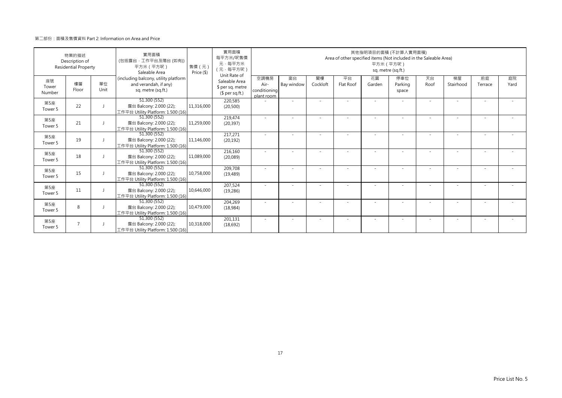|                       | 物業的描述<br>Description of<br><b>Residential Property</b> |            | 實用面積<br>(包括露台·工作平台及陽台 (如有))<br>平方米 (平方呎)<br>Saleable Area                           | 售價 (元)<br>Price (\$) | 實用面積<br>每平方米/呎售價<br>元·每平方米<br>(元·每平方呎)                               | 其他指明項目的面積 (不計算入實用面積)<br>Area of other specified items (Not included in the Saleable Area)<br>平方米 (平方呎)<br>sq. metre (sq.ft.) |                  |                |                 |              |                          |            |                          |                          |            |  |  |
|-----------------------|--------------------------------------------------------|------------|-------------------------------------------------------------------------------------|----------------------|----------------------------------------------------------------------|------------------------------------------------------------------------------------------------------------------------------|------------------|----------------|-----------------|--------------|--------------------------|------------|--------------------------|--------------------------|------------|--|--|
| 座號<br>Tower<br>Number | 樓層<br>Floor                                            | 單位<br>Unit | (including balcony, utility platform<br>and verandah, if any)<br>sq. metre (sq.ft.) |                      | Unit Rate of<br>Saleable Area<br>\$ per sq. metre<br>$$$ per sq.ft.) | 空調機房<br>Air-<br>conditioning<br>plant room                                                                                   | 窗台<br>Bay window | 閣樓<br>Cockloft | 平台<br>Flat Roof | 花園<br>Garden | 停車位<br>Parking<br>space  | 天台<br>Roof | 梯屋<br>Stairhood          | 前庭<br>Terrace            | 庭院<br>Yard |  |  |
| 第5座<br>Tower 5        | 22                                                     |            | 51.300 (552)<br>露台 Balcony: 2.000 (22);<br>工作平台 Utility Platform: 1.500 (16)        | 11,316,000           | 220,585<br>(20, 500)                                                 |                                                                                                                              | ٠                |                |                 |              |                          |            |                          |                          |            |  |  |
| 第5座<br>Tower 5        | 21                                                     |            | 51.300 (552)<br>露台 Balcony: 2.000 (22);<br>工作平台 Utility Platform: 1.500 (16)        | 11,259,000           | 219,474<br>(20, 397)                                                 |                                                                                                                              |                  |                |                 |              |                          |            | $\overline{\phantom{a}}$ | $\overline{\phantom{a}}$ |            |  |  |
| 第5座<br>Tower 5        | 19                                                     |            | 51.300 (552)<br>露台 Balcony: 2.000 (22);<br>工作平台 Utility Platform: 1.500 (16)        | 11,146,000           | 217,271<br>(20, 192)                                                 |                                                                                                                              |                  |                |                 |              |                          |            |                          |                          |            |  |  |
| 第5座<br>Tower 5        | 18                                                     |            | 51.300 (552)<br>露台 Balcony: 2.000 (22);<br>工作平台 Utility Platform: 1.500 (16)        | 11.089.000           | 216,160<br>(20,089)                                                  |                                                                                                                              |                  |                |                 |              |                          |            |                          |                          |            |  |  |
| 第5座<br>Tower 5        | 15                                                     |            | 51.300 (552)<br>露台 Balcony: 2.000 (22);<br>工作平台 Utility Platform: 1.500 (16)        | 10.758.000           | 209,708<br>(19, 489)                                                 |                                                                                                                              |                  |                |                 |              |                          |            |                          |                          |            |  |  |
| 第5座<br>Tower 5        | 11                                                     |            | 51.300 (552)<br>露台 Balcony: 2.000 (22);<br>工作平台 Utility Platform: 1.500 (16)        | 10.646.000           | 207,524<br>(19, 286)                                                 |                                                                                                                              |                  |                |                 |              | $\overline{\phantom{a}}$ |            |                          |                          |            |  |  |
| 第5座<br>Tower 5        | 8                                                      |            | 51.300(552)<br>露台 Balcony: 2.000 (22);<br>工作平台 Utility Platform: 1.500 (16)         | 10,479,000           | 204,269<br>(18,984)                                                  |                                                                                                                              |                  |                |                 |              |                          |            |                          |                          |            |  |  |
| 第5座<br>Tower 5        | $\overline{7}$                                         |            | 51.300 (552)<br>露台 Balcony: 2.000 (22);<br>工作平台 Utility Platform: 1.500 (16)        | 10,318,000           | 201,131<br>(18,692)                                                  | $\sim$                                                                                                                       | ٠                | ٠              |                 | ٠            | $\sim$                   | $\sim$     | ٠                        | ٠                        |            |  |  |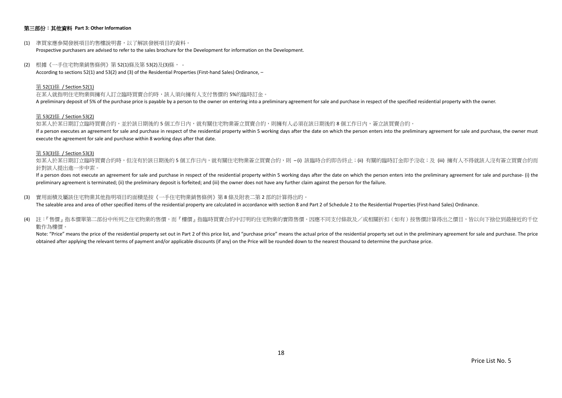## 第三部份:其他資料 **Part 3: Other Information**

- (1) 準買家應參閱發展項目的售樓說明書,以了解該發展項目的資料。 Prospective purchasers are advised to refer to the sales brochure for the Development for information on the Development.
- (2) 根據《一手住宅物業銷售條例》第 52(1)條及第 53(2)及(3)條, According to sections 52(1) and 53(2) and (3) of the Residential Properties (First-hand Sales) Ordinance, –

#### 第 52(1)條 / Section 52(1)

在某人就指明住宅物業與擁有人訂立臨時買賣合約時,該人須向擁有人支付售價的 5%的臨時訂金。 A preliminary deposit of 5% of the purchase price is payable by a person to the owner on entering into a preliminary agreement for sale and purchase in respect of the specified residential property with the owner.

#### 第 53(2)條 / Section 53(2)

如某人於某日期訂立臨時買賣合約,並於該日期後的5個工作日內,就有關住宅物業簽立買賣合約,則擁有人必須在該日期後的8個工作日内,簽立該買賣合約。 If a person executes an agreement for sale and purchase in respect of the residential property within 5 working days after the date on which the person enters into the preliminary agreement for sale and purchase, the owner execute the agreement for sale and purchase within 8 working days after that date.

#### 第 53(3)條 / Section 53(3)

如某人於某日期訂立臨時買賣合約時,但沒有於該日期後的 5 個工作日内,就有關住宅物業簽立買賣合約,則 –(i) 該臨時合約即告終止;(ii) 有關的臨時訂金即予沒收;及 (iii) 擁有人不得就該人沒有簽立買賣合約而 針對該人提出進一步申索。

If a person does not execute an agreement for sale and purchase in respect of the residential property within 5 working days after the date on which the person enters into the preliminary agreement for sale and purchase- ( preliminary agreement is terminated; (ii) the preliminary deposit is forfeited; and (iii) the owner does not have any further claim against the person for the failure.

(3) 實用面積及屬該住宅物業其他指明項目的面積是按《一手住宅物業銷售條例》第 8 條及附表二第 2 部的計算得出的。

The saleable area and area of other specified items of the residential property are calculated in accordance with section 8 and Part 2 of Schedule 2 to the Residential Properties (First-hand Sales) Ordinance.

(4) 註:『售價』指本價單第二部份中所列之住宅物業的售價,而『樓價』指臨時買賣合約中訂明的住宅物業的實際售價。因應不同支付條款及/或相關折扣(如有)按售價計算得出之價目,皆以向下捨位到最接近的千位 數作為樓價。

Note: "Price" means the price of the residential property set out in Part 2 of this price list, and "purchase price" means the actual price of the residential property set out in the preliminary agreement for sale and purc obtained after applying the relevant terms of payment and/or applicable discounts (if any) on the Price will be rounded down to the nearest thousand to determine the purchase price.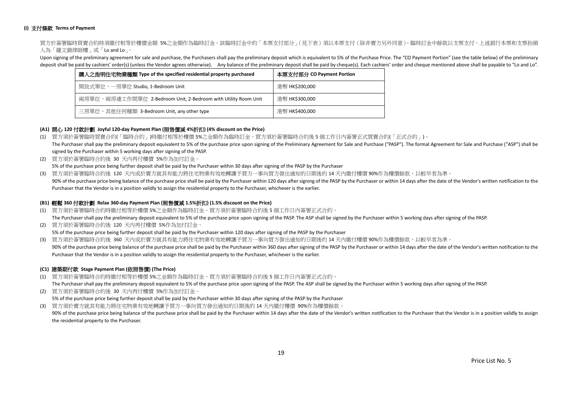## **(i)** 支付條款 **Terms of Payment**

買方於簽署臨時買賣合約時須繳付相等於樓價金額 5%之金額作為臨時訂金。該臨時訂金中的「本票支付部分」(見下表)須以本票支付(除非賣方另外同意)。臨時訂金中餘款以支票支付。上述銀行本票和支票抬頭 人為「羅文錦律師樓」或「Lo and Lo」。

Upon signing of the preliminary agreement for sale and purchase, the Purchasers shall pay the preliminary deposit which is equivalent to 5% of the Purchase Price. The "CO Payment Portion" (see the table below) of the preli deposit shall be paid by cashiers' order(s) (unless the Vendor agrees otherwise). Any balance of the preliminary deposit shall be paid by cheque(s). Each cashiers' order and cheque mentioned above shall be payable to "Lo a

| 購入之指明住宅物業種類 Type of the specified residential property purchased | 本票支付部分 CO Payment Portion |
|------------------------------------------------------------------|---------------------------|
| 開放式單位、一房單位 Studio, 1-Bedroom Unit                                | 港幣 HK\$200,000            |
| 兩房單位、兩房連工作間單位 2-Bedroom Unit, 2-Bedroom with Utility Room Unit   | 港幣 HK\$300,000            |
| 三房單位、其他任何種類 3-Bedroom Unit, any other type                       | 港幣 HK\$400,000            |

## **(A1)** 開心 **120** 付款計劃 **Joyful 120-day Payment Plan (**照售價減 **4%**折扣**) (4% discount on the Price)**

- (1) 買方須於簽署臨時買賣合約(「臨時合約」)時繳付相等於樓價 5%之金額作為臨時訂金。買方須於簽署臨時合約後 5 個工作日內簽署正式買賣合約(「正式合約」)。 The Purchaser shall pay the preliminary deposit equivalent to 5% of the purchase price upon signing of the Preliminary Agreement for Sale and Purchase ("PASP"). The formal Agreement for Sale and Purchase ("ASP") shall be signed by the Purchaser within 5 working days after signing of the PASP.
- (2) 買方須於簽署臨時合約後 30 天內再付樓價 5%作為加付訂金。 5% of the purchase price being further deposit shall be paid by the Purchaser within 30 days after signing of the PASP by the Purchaser
- (3) 買方須於簽署臨時合約後 120 天內或於賣方就其有能力將住宅物業有效地轉讓予買方一事向買方發出通知的日期後的 14 天內繳付樓價 90%作為樓價餘款,以較早者為準。
- 90% of the purchase price being balance of the purchase price shall be paid by the Purchaser within 120 days after signing of the PASP by the Purchaser or within 14 days after the date of the Vendor's written notification Purchaser that the Vendor is in a position validly to assign the residential property to the Purchaser, whichever is the earlier.

## **(B1)** 輕鬆 **360** 付款計劃 **Relax 360-day Payment Plan (**照售價減 **1.5%**折扣**) (1.5% discount on the Price)**

- (1) 買方須於簽署臨時合約時繳付相等於樓價 5%之金額作為臨時訂金。買方須於簽署臨時合約後 5 個工作日內簽署正式合約。 The Purchaser shall pay the preliminary deposit equivalent to 5% of the purchase price upon signing of the PASP. The ASP shall be signed by the Purchaser within 5 working days after signing of the PASP.
- (2) 買方須於簽署臨時合約後 120 天內再付樓價 5%作為加付訂金。 5% of the purchase price being further deposit shall be paid by the Purchaser within 120 days after signing of the PASP by the Purchaser
- (3) 買方須於簽署臨時合約後 360 天內或於賣方就其有能力將住宅物業有效地轉讓予買方一事向買方發出通知的日期後的 14 天內繳付樓價 90%作為樓價餘款,以較早者為準。 90% of the purchase price being balance of the purchase price shall be paid by the Purchaser within 360 days after signing of the PASP by the Purchaser or within 14 days after the date of the Vendor's written notification Purchaser that the Vendor is in a position validly to assign the residential property to the Purchaser, whichever is the earlier.

## **(C1)** 建築期付款 **Stage Payment Plan (**依照售價**) (The Price)**

(1) 買方須於簽署臨時合約時繳付相等於樓價 5%之金額作為臨時訂金。買方須於簽署臨時合約後 5 個工作日內簽署正式合約。

The Purchaser shall pay the preliminary deposit equivalent to 5% of the purchase price upon signing of the PASP. The ASP shall be signed by the Purchaser within 5 working days after signing of the PASP.

(2) 買方須於簽署臨時合約後 30 天內再付樓價 5%作為加付訂金。 5% of the purchase price being further deposit shall be paid by the Purchaser within 30 days after signing of the PASP by the Purchaser (3) 買方須於賣方就其有能力將住宅物業有效地轉讓予買方一事向買方發出通知的日期後的 14 天內繳付樓價 90%作為樓價餘款。

90% of the purchase price being balance of the purchase price shall be paid by the Purchaser within 14 days after the date of the Vendor's written notification to the Purchaser that the Vendor is in a position validly to a the residential property to the Purchaser.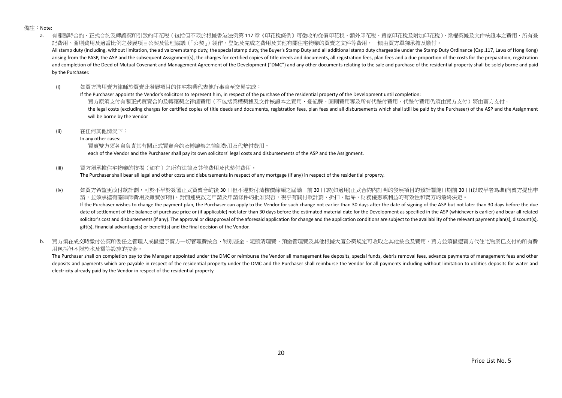備註:Note:

a. 有關臨時合約、正式合約及轉讓契所引致的印花稅(包括但不限於根據香港法例第 117 章《印花稅條例》可徵收的從價印花稅、額外印花稅、買家印花稅及附加印花稅)、業權契據及文件核證本之費用、所有登 記費用、圖則費用及適當比例之發展項目公契及管理協議(「公契」)製作、登記及完成之費用及其他有關住宅物業的買賣之文件等費用,一概由買方單獨承擔及繳付。 All stamp duty (including, without limitation, the ad valorem stamp duty, the special stamp duty, the Buyer's Stamp Duty and all additional stamp duty chargeable under the Stamp Duty Ordinance (Cap.117, Laws of Hong Kong) arising from the PASP, the ASP and the subsequent Assignment(s), the charges for certified copies of title deeds and documents, all registration fees, plan fees and a due proportion of the costs for the preparation, regist and completion of the Deed of Mutual Covenant and Management Agreement of the Development ("DMC") and any other documents relating to the sale and purchase of the residential property shall be solely borne and paid by the Purchaser.

(i) 如買方聘用賣方律師於買賣此發展項目的住宅物業代表他行事直至交易完成:

If the Purchaser appoints the Vendor's solicitors to represent him, in respect of the purchase of the residential property of the Development until completion: 買方原須支付有關正式買賣合約及轉讓契之律師費用(不包括業權契據及文件核證本之責用、登記費、圖則費用等及所有代墊付費用,代墊付費用仍須由買方支付)將由賣方支付。 the legal costs (excluding charges for certified copies of title deeds and documents, registration fees, plan fees and all disbursements which shall still be paid by the Purchaser) of the ASP and the Assignment will be borne by the Vendor

(ii) 在任何其他情況下:

In any other cases:

買賣雙方須各自負責其有關正式買賣合約及轉讓契之律師費用及代墊付費用。

each of the Vendor and the Purchaser shall pay its own solicitors' legal costs and disbursements of the ASP and the Assignment.

(iii) 買方須承擔住宅物業的按揭(如有)之所有法律及其他費用及代墊付費用。

The Purchaser shall bear all legal and other costs and disbursements in respect of any mortgage (if any) in respect of the residential property.

(iv) 如買方希望更改付款計劃,可於不早於簽署正式買賣合約後 30 日但不遲於付清樓價餘額之屆滿日前 30 日或(如適用)正式合約內訂明的發展項目的預計關鍵日期前 30 日(以較早者為準)向賣方提出申 請,並須承擔有關律師費用及雜費(如有)。對前述更改之申請及申請條件的批准與否,視乎有關付款計劃、折扣、贈品、財務優惠或利益的有效性和賣方的最終決定。 If the Purchaser wishes to change the payment plan, the Purchaser can apply to the Vendor for such change not earlier than 30 days after the date of signing of the ASP but not later than 30 days before the due

date of settlement of the balance of purchase price or (if applicable) not later than 30 days before the estimated material date for the Development as specified in the ASP (whichever is earlier) and bear all related solicitor's cost and disbursements (if any). The approval or disapproval of the aforesaid application for change and the application conditions are subject to the availability of the relevant payment plan(s), discount(s), gift(s), financial advantage(s) or benefit(s) and the final decision of the Vendor.

b. 冒方須在成交時繳付公契所委任之管理人或償還予賣方一切管理費按金、特別基金、泥頭清理費、預繳管理費及其他根據大廈公契規定可收取之其他按金及費用,買方並須償還賣方代住宅物業已支付的所有費 用包括但不限於水及電等設施的按金。

The Purchaser shall on completion pay to the Manager appointed under the DMC or reimburse the Vendor all management fee deposits, special funds, debris removal fees, advance payments of management fees and other deposits and payments which are payable in respect of the residential property under the DMC and the Purchaser shall reimburse the Vendor for all payments including without limitation to utilities deposits for water and electricity already paid by the Vendor in respect of the residential property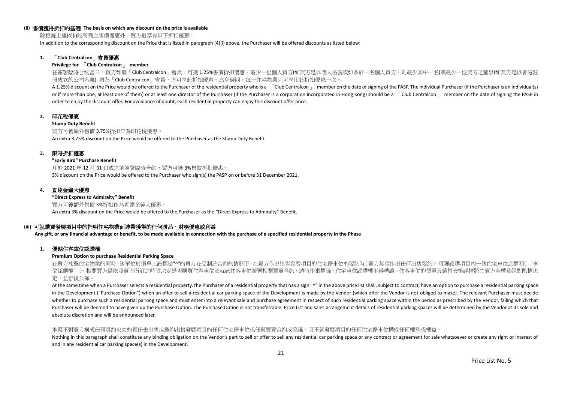#### **(ii)** 售價獲得折扣的基礎 **The basis on which any discount on the price is available**

除根據上述(4)(i)段所列之售價優惠外,買方還享有以下折扣優惠:

In addition to the corresponding discount on the Price that is listed in paragraph (4)(i) above, the Purchaser will be offered discounts as listed below:

## **1.** 「**Club Centralcon**」會員優惠

#### **Privilege for** 「**Club Centralcon**」 **member**

在簽署臨時合約當日,買方如屬「Club Centralcon」會員,可獲 1.25%售價折扣優惠。最少一位個人買方(如買方是以個人名義或如多於一名個人買方,則最少其中一名)或最少一位買方之董事(如買方是以香港註 冊成立的公司名義) 須為「Club Centralcon」會員,方可享此折扣優惠。為免疑問,每一住宅物業只可享用此折扣優惠一次。

A 1.25% discount on the Price would be offered to the Purchaser of the residential property who is a [Club Centralcon ] member on the date of signing of the PASP. The individual Purchaser (if the Purchaser is an individual or if more than one, at least one of them) or at least one director of the Purchaser (if the Purchaser is a corporation incorporated in Hong Kong) should be a  $\overline{C}$ Club Centralcon  $\overline{C}$  member on the date of signing order to enjoy the discount offer. For avoidance of doubt, each residential property can enjoy this discount offer once.

## **2.** 印花稅優惠

#### **Stamp Duty Benefit**

買方可獲額外售價 3.75%折扣作為印花稅優惠。 An extra 3.75% discount on the Price would be offered to the Purchaser as the Stamp Duty Benefit.

## **3.** 限時折扣優惠

#### **"Early Bird" Purchase Benefit**

凡於 2021 年 12 月 31 日或之前簽署臨時合約,買方可獲 3%售價折扣優惠。 3% discount on the Price would be offered to the Purchaser who sign(s) the PASP on or before 31 December 2021.

## **4.** 直達金鐘大優惠

**"Direct Express to Admiralty" Benefit** 買方可獲額外售價 3%折扣作為直達金鐘大優惠。 An extra 3% discount on the Price would be offered to the Purchaser as the "Direct Express to Admiralty" Benefit.

## **(iii)** 可就購買發展項目中的指明住宅物業而連帶獲得的任何贈品、財務優惠或利益

**Any gift, or any financial advantage or benefit, to be made available in connection with the purchase of a specified residential property in the Phase**

## **1.** 優越住客車位認購權

## **Premium Option to purchase Residential Parking Space**

在買方揀選住宅物業的同時,該單位於價單上設標誌"^"的買方在受制於合約的情形下,在賣方作出出售發展項目的住宅停車位的要約時(賣方無須作出任何出售要約),可獲認購項目內一個住宅車位之權利("車 位認購權")。相關買方需依照賣方所訂之時限決定是否購買住客車位及就該住客車位簽署相關買賣合約,逾時作棄權論。住宅車位認購權不得轉讓。住客車位的價單及銷售安排詳情將由賣方全權及絕對酌情決 定,並容後公佈。

At the same time when a Purchaser selects a residential property, the Purchaser of a residential property that has a sign "^" in the above price list shall, subject to contract, have an option to purchase a residential par in the Development ("Purchase Option") when an offer to sell a residential car parking space of the Development is made by the Vendor (which offer the Vendor is not obliged to make). The relevant Purchaser must decide whether to purchase such a residential parking space and must enter into a relevant sale and purchase agreement in respect of such residential parking space within the period as prescribed by the Vendor, failing which that Purchaser will be deemed to have given up the Purchase Option. The Purchase Option is not transferrable. Price List and sales arrangement details of residential parking spaces will be determined by the Vendor at its sole a absolute discretion and will be announced later.

#### 本段不對賣方構成任何具約束力的責任去出售或邀約出售發展項目的任何住宅停車位或任何買賣合約或協議,且不就發展項目的任何住宅停車位構成任何權利或權益。

Nothing in this paragraph shall constitute any binding obligation on the Vendor's part to sell or offer to sell any residential car parking space or any contract or agreement for sale whatsoever or create any right or inte and in any residential car parking space(s) in the Development.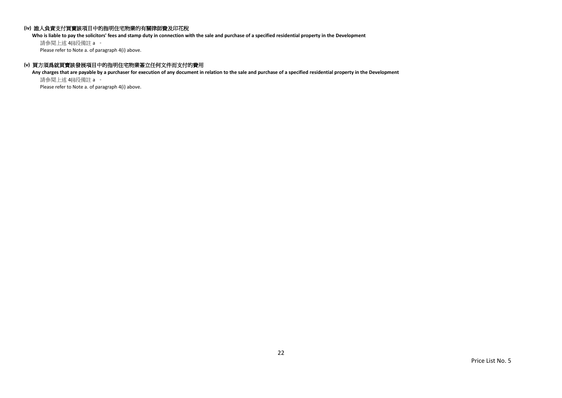## **(iv)** 誰人負責支付買賣該項目中的指明住宅物業的有關律師費及印花稅

**Who is liable to pay the solicitors' fees and stamp duty in connection with the sale and purchase of a specified residential property in the Development**

請參閱上述 4(i)段備註 a 。 Please refer to Note a. of paragraph 4(i) above.

## **(v)** 買方須爲就買賣該發展項目中的指明住宅物業簽立任何文件而支付的費用

**Any charges that are payable by a purchaser for execution of any document in relation to the sale and purchase of a specified residential property in the Development** 請參閱上述 4(i)段備註 a 。

Please refer to Note a. of paragraph 4(i) above.